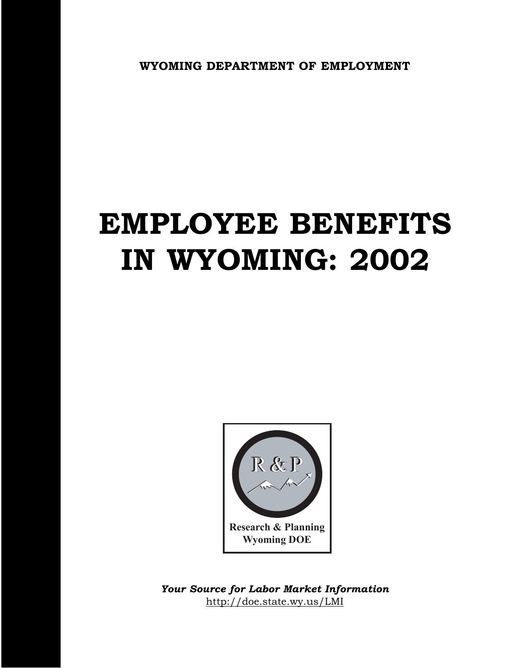**WYOMING DEPARTMENT OF EMPLOYMENT**

# **EMPLOYEE BENEFITS IN WYOMING: 2002**



http://doe.state.wy.us/LMI *Your Source for Labor Market Information*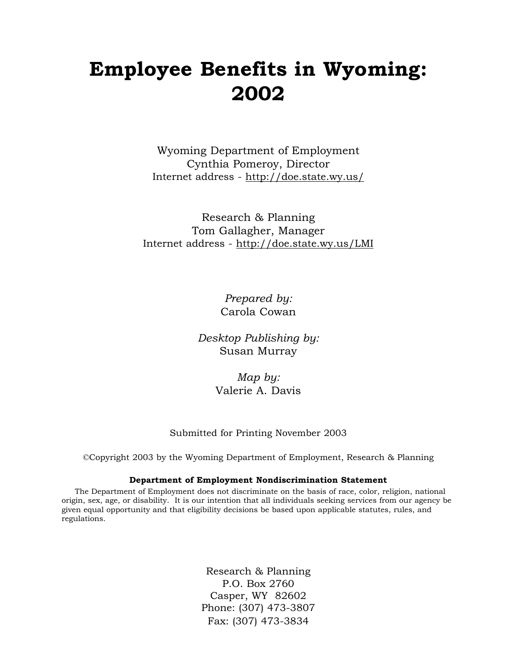# **Employee Benefits in Wyoming: 2002**

Wyoming Department of Employment Cynthia Pomeroy, Director Internet address - http://doe.state.wy.us/

Research & Planning Tom Gallagher, Manager Internet address - http://doe.state.wy.us/LMI

> *Prepared by:* Carola Cowan

*Desktop Publishing by:* Susan Murray

> *Map by:* Valerie A. Davis

#### Submitted for Printing November 2003

©Copyright 2003 by the Wyoming Department of Employment, Research & Planning

#### **Department of Employment Nondiscrimination Statement**

The Department of Employment does not discriminate on the basis of race, color, religion, national origin, sex, age, or disability. It is our intention that all individuals seeking services from our agency be given equal opportunity and that eligibility decisions be based upon applicable statutes, rules, and regulations.

> Research & Planning P.O. Box 2760 Casper, WY 82602 Phone: (307) 473-3807 Fax: (307) 473-3834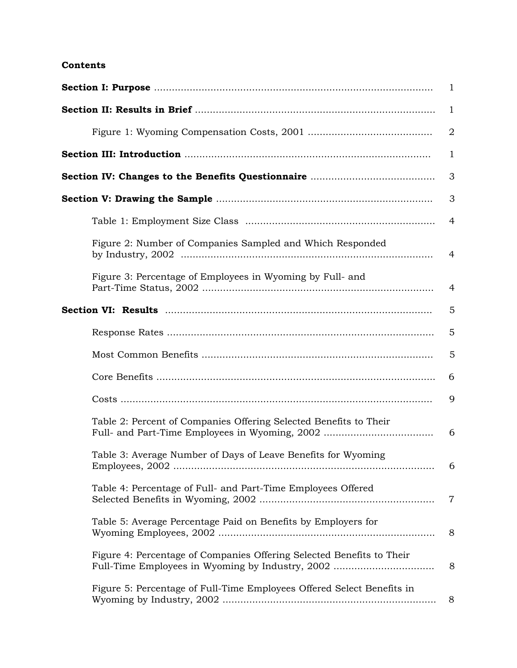#### **Contents**

|                                                                        | $\mathbf{1}$   |
|------------------------------------------------------------------------|----------------|
|                                                                        | $\mathbf{1}$   |
|                                                                        | $\overline{2}$ |
|                                                                        | 1              |
|                                                                        | 3              |
|                                                                        | 3              |
|                                                                        | $\overline{4}$ |
| Figure 2: Number of Companies Sampled and Which Responded              | 4              |
| Figure 3: Percentage of Employees in Wyoming by Full- and              | 4              |
|                                                                        | 5              |
|                                                                        | 5              |
|                                                                        | 5              |
|                                                                        | 6              |
|                                                                        | 9              |
| Table 2: Percent of Companies Offering Selected Benefits to Their      | 6              |
| Table 3: Average Number of Days of Leave Benefits for Wyoming          | 6              |
| Table 4: Percentage of Full- and Part-Time Employees Offered           | $\overline{7}$ |
| Table 5: Average Percentage Paid on Benefits by Employers for          | 8              |
| Figure 4: Percentage of Companies Offering Selected Benefits to Their  | 8              |
| Figure 5: Percentage of Full-Time Employees Offered Select Benefits in | 8              |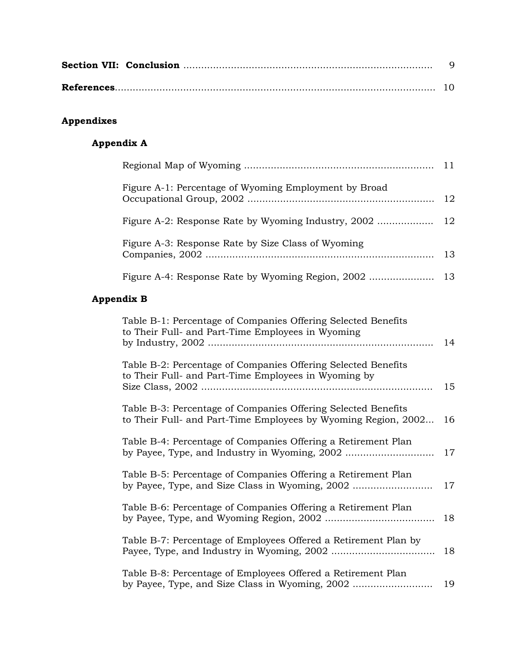# **Appendixes**

# **Appendix A**

| Figure A-1: Percentage of Wyoming Employment by Broad |  |
|-------------------------------------------------------|--|
|                                                       |  |
| Figure A-3: Response Rate by Size Class of Wyoming    |  |
|                                                       |  |

### **Appendix B**

| Table B-1: Percentage of Companies Offering Selected Benefits<br>to Their Full- and Part-Time Employees in Wyoming              | 14 |
|---------------------------------------------------------------------------------------------------------------------------------|----|
| Table B-2: Percentage of Companies Offering Selected Benefits<br>to Their Full- and Part-Time Employees in Wyoming by           | 15 |
| Table B-3: Percentage of Companies Offering Selected Benefits<br>to Their Full- and Part-Time Employees by Wyoming Region, 2002 | 16 |
| Table B-4: Percentage of Companies Offering a Retirement Plan                                                                   | 17 |
| Table B-5: Percentage of Companies Offering a Retirement Plan<br>by Payee, Type, and Size Class in Wyoming, 2002                | 17 |
| Table B-6: Percentage of Companies Offering a Retirement Plan                                                                   | 18 |
| Table B-7: Percentage of Employees Offered a Retirement Plan by                                                                 | 18 |
| Table B-8: Percentage of Employees Offered a Retirement Plan<br>by Payee, Type, and Size Class in Wyoming, 2002                 | 19 |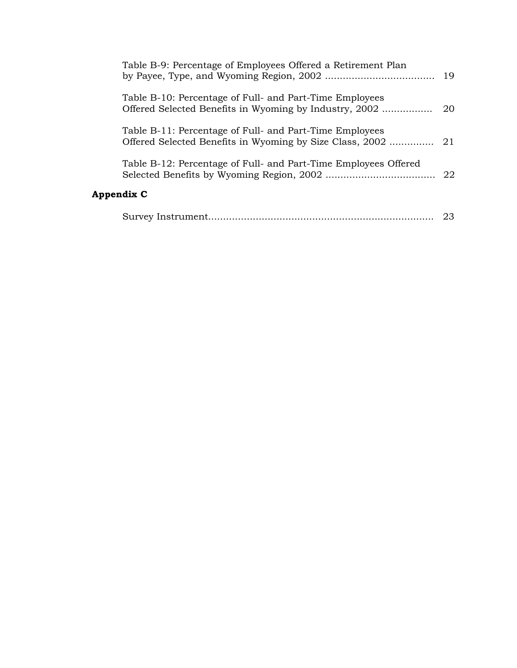| Table B-9: Percentage of Employees Offered a Retirement Plan                                                        | 19 |
|---------------------------------------------------------------------------------------------------------------------|----|
| Table B-10: Percentage of Full- and Part-Time Employees                                                             | 20 |
| Table B-11: Percentage of Full- and Part-Time Employees<br>Offered Selected Benefits in Wyoming by Size Class, 2002 | 21 |
| Table B-12: Percentage of Full- and Part-Time Employees Offered                                                     | 22 |
| Appendix C                                                                                                          |    |
|                                                                                                                     | 23 |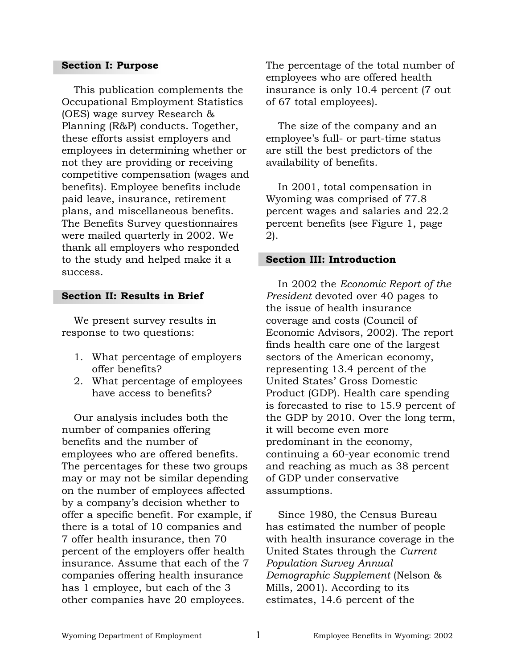#### **Section I: Purpose**

This publication complements the Occupational Employment Statistics (OES) wage survey Research & Planning (R&P) conducts. Together, these efforts assist employers and employees in determining whether or not they are providing or receiving competitive compensation (wages and benefits). Employee benefits include paid leave, insurance, retirement plans, and miscellaneous benefits. The Benefits Survey questionnaires were mailed quarterly in 2002. We thank all employers who responded to the study and helped make it a success.

#### **Section II: Results in Brief**

We present survey results in response to two questions:

- 1. What percentage of employers offer benefits?
- 2. What percentage of employees have access to benefits?

Our analysis includes both the number of companies offering benefits and the number of employees who are offered benefits. The percentages for these two groups may or may not be similar depending on the number of employees affected by a company's decision whether to offer a specific benefit. For example, if there is a total of 10 companies and 7 offer health insurance, then 70 percent of the employers offer health insurance. Assume that each of the 7 companies offering health insurance has 1 employee, but each of the 3 other companies have 20 employees.

The percentage of the total number of employees who are offered health insurance is only 10.4 percent (7 out of 67 total employees).

The size of the company and an employee's full- or part-time status are still the best predictors of the availability of benefits.

In 2001, total compensation in Wyoming was comprised of 77.8 percent wages and salaries and 22.2 percent benefits (see Figure 1, page 2).

#### **Section III: Introduction**

In 2002 the *Economic Report of the President* devoted over 40 pages to the issue of health insurance coverage and costs (Council of Economic Advisors, 2002). The report finds health care one of the largest sectors of the American economy, representing 13.4 percent of the United States' Gross Domestic Product (GDP). Health care spending is forecasted to rise to 15.9 percent of the GDP by 2010. Over the long term, it will become even more predominant in the economy, continuing a 60-year economic trend and reaching as much as 38 percent of GDP under conservative assumptions.

Since 1980, the Census Bureau has estimated the number of people with health insurance coverage in the United States through the *Current Population Survey Annual Demographic Supplement* (Nelson & Mills, 2001). According to its estimates, 14.6 percent of the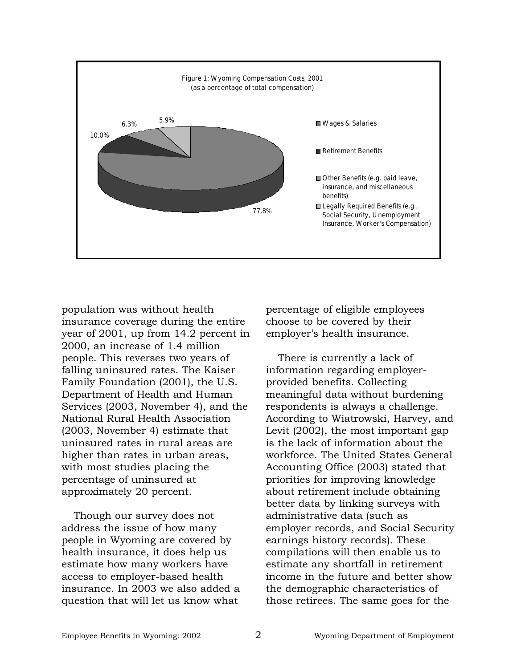

population was without health insurance coverage during the entire year of 2001, up from 14.2 percent in 2000, an increase of 1.4 million people. This reverses two years of falling uninsured rates. The Kaiser Family Foundation (2001), the U.S. Department of Health and Human Services (2003, November 4), and the National Rural Health Association (2003, November 4) estimate that uninsured rates in rural areas are higher than rates in urban areas, with most studies placing the percentage of uninsured at approximately 20 percent.

Though our survey does not address the issue of how many people in Wyoming are covered by health insurance, it does help us estimate how many workers have access to employer-based health insurance. In 2003 we also added a question that will let us know what

percentage of eligible employees choose to be covered by their employer's health insurance.

There is currently a lack of information regarding employerprovided benefits. Collecting meaningful data without burdening respondents is always a challenge. According to Wiatrowski, Harvey, and Levit (2002), the most important gap is the lack of information about the workforce. The United States General Accounting Office (2003) stated that priorities for improving knowledge about retirement include obtaining better data by linking surveys with administrative data (such as employer records, and Social Security earnings history records). These compilations will then enable us to estimate any shortfall in retirement income in the future and better show the demographic characteristics of those retirees. The same goes for the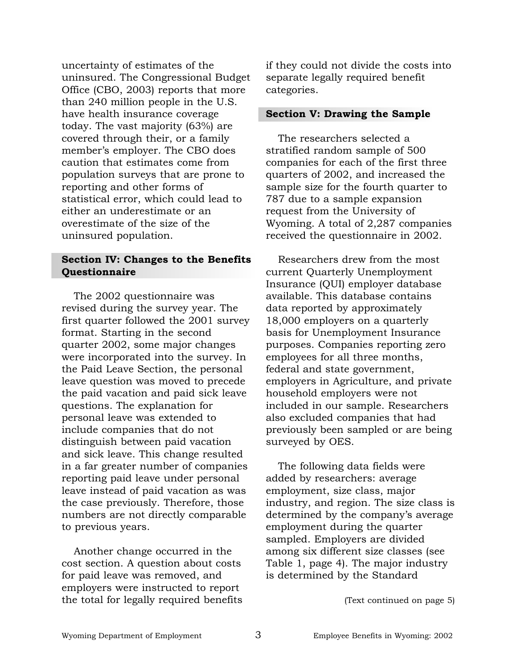uncertainty of estimates of the uninsured. The Congressional Budget Office (CBO, 2003) reports that more than 240 million people in the U.S. have health insurance coverage today. The vast majority (63%) are covered through their, or a family member's employer. The CBO does caution that estimates come from population surveys that are prone to reporting and other forms of statistical error, which could lead to either an underestimate or an overestimate of the size of the uninsured population.

#### **Section IV: Changes to the Benefits Questionnaire**

The 2002 questionnaire was revised during the survey year. The first quarter followed the 2001 survey format. Starting in the second quarter 2002, some major changes were incorporated into the survey. In the Paid Leave Section, the personal leave question was moved to precede the paid vacation and paid sick leave questions. The explanation for personal leave was extended to include companies that do not distinguish between paid vacation and sick leave. This change resulted in a far greater number of companies reporting paid leave under personal leave instead of paid vacation as was the case previously. Therefore, those numbers are not directly comparable to previous years.

Another change occurred in the cost section. A question about costs for paid leave was removed, and employers were instructed to report the total for legally required benefits if they could not divide the costs into separate legally required benefit categories.

#### **Section V: Drawing the Sample**

The researchers selected a stratified random sample of 500 companies for each of the first three quarters of 2002, and increased the sample size for the fourth quarter to 787 due to a sample expansion request from the University of Wyoming. A total of 2,287 companies received the questionnaire in 2002.

Researchers drew from the most current Quarterly Unemployment Insurance (QUI) employer database available. This database contains data reported by approximately 18,000 employers on a quarterly basis for Unemployment Insurance purposes. Companies reporting zero employees for all three months, federal and state government, employers in Agriculture, and private household employers were not included in our sample. Researchers also excluded companies that had previously been sampled or are being surveyed by OES.

The following data fields were added by researchers: average employment, size class, major industry, and region. The size class is determined by the company's average employment during the quarter sampled. Employers are divided among six different size classes (see Table 1, page 4). The major industry is determined by the Standard

(Text continued on page 5)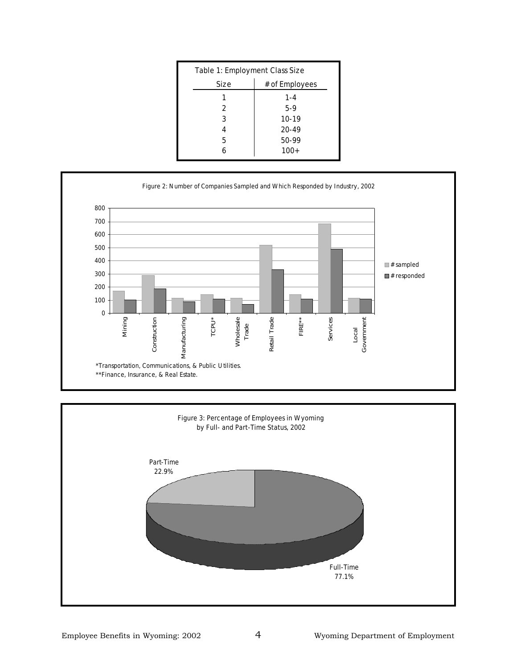|      | Table 1: Employment Class Size |  |
|------|--------------------------------|--|
| Size | # of Employees                 |  |
| 1    | $1 - 4$                        |  |
| 2    | $5-9$                          |  |
| 3    | $10 - 19$                      |  |
|      | $20 - 49$                      |  |
| 5    | $50-99$                        |  |
|      | $100+$                         |  |



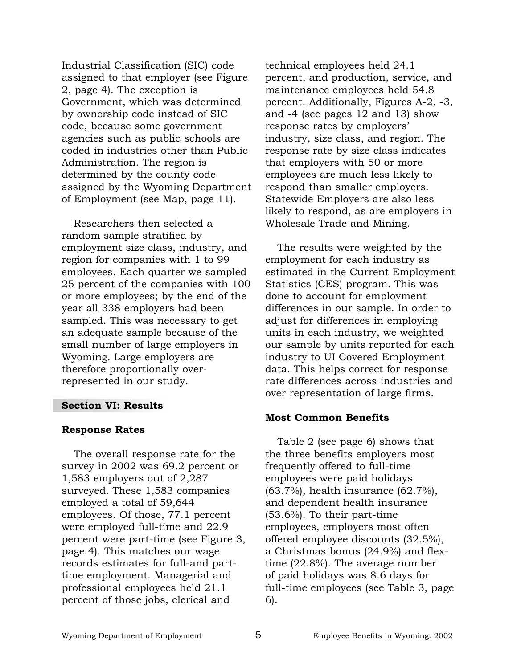Industrial Classification (SIC) code assigned to that employer (see Figure 2, page 4). The exception is Government, which was determined by ownership code instead of SIC code, because some government agencies such as public schools are coded in industries other than Public Administration. The region is determined by the county code assigned by the Wyoming Department of Employment (see Map, page 11).

Researchers then selected a random sample stratified by employment size class, industry, and region for companies with 1 to 99 employees. Each quarter we sampled 25 percent of the companies with 100 or more employees; by the end of the year all 338 employers had been sampled. This was necessary to get an adequate sample because of the small number of large employers in Wyoming. Large employers are therefore proportionally overrepresented in our study.

#### **Section VI: Results**

#### **Response Rates**

The overall response rate for the survey in 2002 was 69.2 percent or 1,583 employers out of 2,287 surveyed. These 1,583 companies employed a total of 59,644 employees. Of those, 77.1 percent were employed full-time and 22.9 percent were part-time (see Figure 3, page 4). This matches our wage records estimates for full-and parttime employment. Managerial and professional employees held 21.1 percent of those jobs, clerical and

technical employees held 24.1 percent, and production, service, and maintenance employees held 54.8 percent. Additionally, Figures A-2, -3, and -4 (see pages 12 and 13) show response rates by employers' industry, size class, and region. The response rate by size class indicates that employers with 50 or more employees are much less likely to respond than smaller employers. Statewide Employers are also less likely to respond, as are employers in Wholesale Trade and Mining.

The results were weighted by the employment for each industry as estimated in the Current Employment Statistics (CES) program. This was done to account for employment differences in our sample. In order to adjust for differences in employing units in each industry, we weighted our sample by units reported for each industry to UI Covered Employment data. This helps correct for response rate differences across industries and over representation of large firms.

#### **Most Common Benefits**

Table 2 (see page 6) shows that the three benefits employers most frequently offered to full-time employees were paid holidays (63.7%), health insurance (62.7%), and dependent health insurance (53.6%). To their part-time employees, employers most often offered employee discounts (32.5%), a Christmas bonus (24.9%) and flextime (22.8%). The average number of paid holidays was 8.6 days for full-time employees (see Table 3, page 6).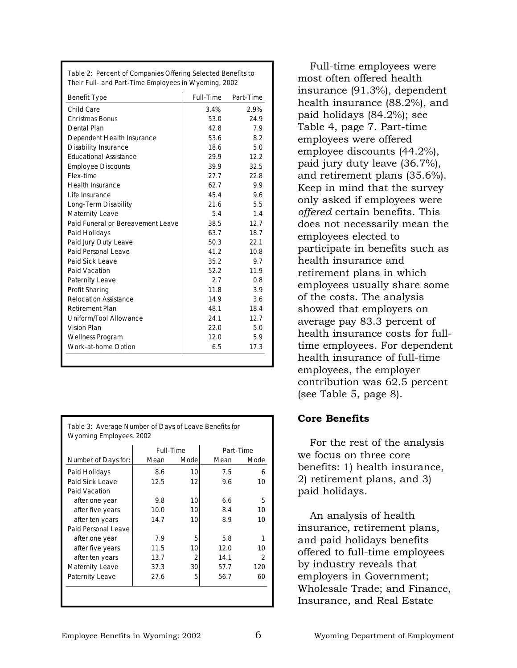| Table 2: Percent of Companies Offering Selected Benefits to |  |
|-------------------------------------------------------------|--|
| Their Full- and Part-Time Employees in Wyoming, 2002        |  |

| <b>Benefit Type</b>               | <b>Full-Time</b> | Part-Time |
|-----------------------------------|------------------|-----------|
| Child Care                        | 3.4%             | 2.9%      |
| <b>Christmas Bonus</b>            | 53.0             | 24.9      |
| Dental Plan                       | 42.8             | 7.9       |
| Dependent Health Insurance        | 53.6             | 8.2       |
| <b>Disability Insurance</b>       | 18.6             | 5.0       |
| <b>Educational Assistance</b>     | 29.9             | 12.2      |
| <b>Employee Discounts</b>         | 39.9             | 32.5      |
| Flex-time                         | 27.7             | 22.8      |
| <b>Health Insurance</b>           | 62.7             | 9.9       |
| I ife Insurance                   | 45.4             | 9.6       |
| Long-Term Disability              | 21.6             | 5.5       |
| <b>Maternity Leave</b>            | 5.4              | 1.4       |
| Paid Funeral or Bereavement Leave | 38.5             | 12.7      |
| Paid Holidays                     | 63.7             | 18.7      |
| Paid Jury Duty Leave              | 50.3             | 22.1      |
| Paid Personal Leave               | 41.2             | 10.8      |
| Paid Sick Leave                   | 35.2             | 9.7       |
| Paid Vacation                     | 52.2             | 11.9      |
| Paternity Leave                   | 2.7              | 0.8       |
| Profit Sharing                    | 11.8             | 3.9       |
| <b>Relocation Assistance</b>      | 14.9             | 3.6       |
| <b>Retirement Plan</b>            | 48.1             | 18.4      |
| Uniform/Tool Allowance            | 24.1             | 12.7      |
| Vision Plan                       | 22.0             | 5.0       |
| Wellness Program                  | 12.0             | 5.9       |
| Work-at-home Option               | 6.5              | 17.3      |
|                                   |                  |           |

|                            | <b>Full-Time</b> |                 | Part-Time |                  |
|----------------------------|------------------|-----------------|-----------|------------------|
| <b>Number of Days for:</b> | Mean             | Mode            | Mean      | Mode             |
| Paid Holidays              | 8.6              | 10 <sup>1</sup> | 7.5       | 6                |
| Paid Sick Leave            | 12.5             | 12              | 9.6       | 10               |
| Paid Vacation              |                  |                 |           |                  |
| after one year             | 9.8              | 10              | 6.6       | 5                |
| after five years           | 10.0             | 10              | 8.4       | 10               |
| after ten years            | 14.7             | 10              | 8.9       | 10 <sup>10</sup> |
| Paid Personal Leave        |                  |                 |           |                  |
| after one year             | 7.9              | 5               | 5.8       | 1                |
| after five years           | 11.5             | 10              | 12.0      | 10               |
| after ten years            | 13.7             | $\overline{2}$  | 14.1      | $\overline{2}$   |
| <b>Maternity Leave</b>     | 37.3             | $30$            | 57.7      | 120              |
| Paternity Leave            | 27.6             | 5               | 56.7      | 60               |

Full-time employees were most often offered health insurance (91.3%), dependent health insurance (88.2%), and paid holidays (84.2%); see Table 4, page 7. Part-time employees were offered employee discounts (44.2%), paid jury duty leave (36.7%), and retirement plans (35.6%). Keep in mind that the survey only asked if employees were *offered* certain benefits. This does not necessarily mean the employees elected to participate in benefits such as health insurance and retirement plans in which employees usually share some of the costs. The analysis showed that employers on average pay 83.3 percent of health insurance costs for fulltime employees. For dependent health insurance of full-time employees, the employer contribution was 62.5 percent (see Table 5, page 8).

#### **Core Benefits**

For the rest of the analysis we focus on three core benefits: 1) health insurance, 2) retirement plans, and 3) paid holidays.

An analysis of health insurance, retirement plans, and paid holidays benefits offered to full-time employees by industry reveals that employers in Government; Wholesale Trade; and Finance, Insurance, and Real Estate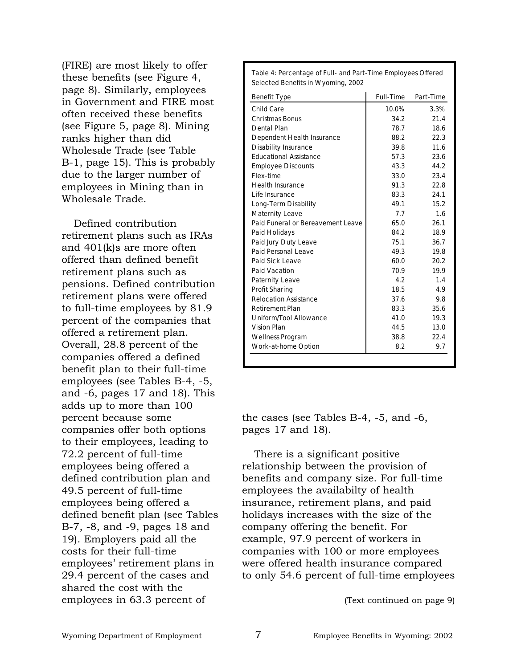(FIRE) are most likely to offer these benefits (see Figure 4, page 8). Similarly, employees in Government and FIRE most often received these benefits (see Figure 5, page 8). Mining ranks higher than did Wholesale Trade (see Table B-1, page 15). This is probably due to the larger number of employees in Mining than in Wholesale Trade.

Defined contribution retirement plans such as IRAs and 401(k)s are more often offered than defined benefit retirement plans such as pensions. Defined contribution retirement plans were offered to full-time employees by 81.9 percent of the companies that offered a retirement plan. Overall, 28.8 percent of the companies offered a defined benefit plan to their full-time employees (see Tables B-4, -5, and -6, pages 17 and 18). This adds up to more than 100 percent because some companies offer both options to their employees, leading to 72.2 percent of full-time employees being offered a defined contribution plan and 49.5 percent of full-time employees being offered a defined benefit plan (see Tables B-7, -8, and -9, pages 18 and 19). Employers paid all the costs for their full-time employees' retirement plans in 29.4 percent of the cases and shared the cost with the employees in 63.3 percent of

| Selected Benefits in Wyoming, 2002 |                  |           |
|------------------------------------|------------------|-----------|
| <b>Benefit Type</b>                | <b>Full-Time</b> | Part-Time |
| Child Care                         | 10.0%            | 3.3%      |
| Christmas Bonus                    | 34.2             | 21.4      |
| Dental Plan                        | 78.7             | 18.6      |
| Dependent Health Insurance         | 88.2             | 22.3      |
| <b>Disability Insurance</b>        | 39.8             | 11.6      |
| <b>Educational Assistance</b>      | 57.3             | 23.6      |
| <b>Employee Discounts</b>          | 43.3             | 44.2      |
| Flex-time                          | 33.0             | 23.4      |
| <b>Health Insurance</b>            | 91.3             | 22.8      |
| Life Insurance                     | 83.3             | 24.1      |
| Long-Term Disability               | 49.1             | 15.2      |
| <b>Maternity Leave</b>             | 7.7              | 1.6       |
| Paid Funeral or Bereavement Leave  | 65.0             | 26.1      |
| Paid Holidays                      | 84.2             | 18.9      |
| Paid Jury Duty Leave               | 75.1             | 36.7      |
| Paid Personal Leave                | 49.3             | 19.8      |
| Paid Sick Leave                    | 60.0             | 20.2      |
| Paid Vacation                      | 70.9             | 19.9      |
| <b>Paternity Leave</b>             | 4.2              | 1.4       |
| Profit Sharing                     | 18.5             | 4.9       |
| <b>Relocation Assistance</b>       | 37.6             | 9.8       |
| <b>Retirement Plan</b>             | 83.3             | 35.6      |
| Uniform/Tool Allowance             | 41.0             | 19.3      |
| <b>Vision Plan</b>                 | 44.5             | 13.0      |
| Wellness Program                   | 38.8             | 22.4      |
| Work-at-home Option                | 8.2              | 9.7       |
|                                    |                  |           |

**Table 4: Percentage of Full- and Part-Time Employees Offered** 

the cases (see Tables B-4, -5, and -6, pages 17 and 18).

There is a significant positive relationship between the provision of benefits and company size. For full-time employees the availabilty of health insurance, retirement plans, and paid holidays increases with the size of the company offering the benefit. For example, 97.9 percent of workers in companies with 100 or more employees were offered health insurance compared to only 54.6 percent of full-time employees

(Text continued on page 9)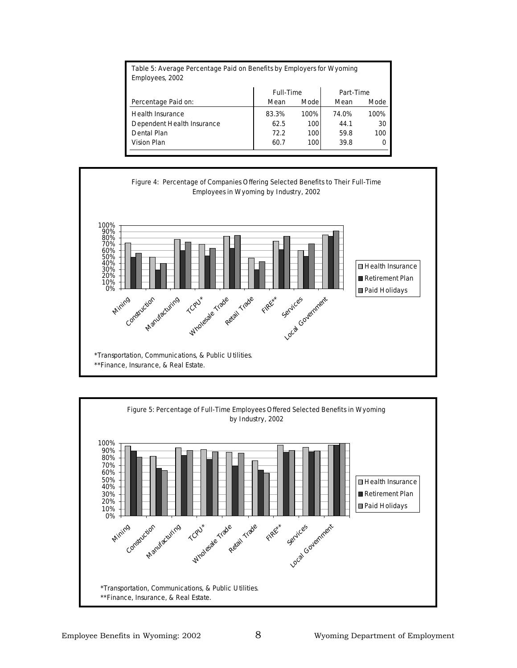| Table 5: Average Percentage Paid on Benefits by Employers for Wyoming<br>Employees, 2002 |                  |             |           |      |
|------------------------------------------------------------------------------------------|------------------|-------------|-----------|------|
|                                                                                          | <b>Full-Time</b> |             | Part-Time |      |
| Percentage Paid on:                                                                      | Mean             | <b>Mode</b> | Mean      | Mode |
| <b>Health Insurance</b>                                                                  | 83.3%            | 100%        | 74.0%     | 100% |
| Dependent Health Insurance                                                               | 62.5             | <b>100</b>  | 44.1      | 30   |
| Dental Plan                                                                              | 72.2             | 100         | 59.8      | 100  |
| Vision Plan                                                                              | 60.7             | 100         | 39.8      | 0    |





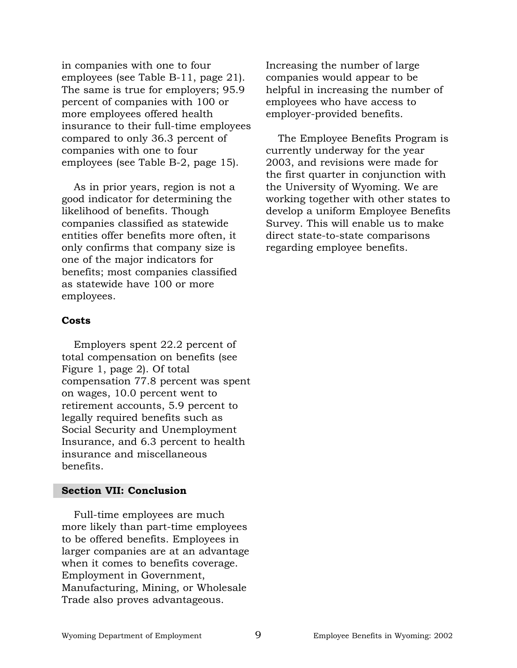in companies with one to four employees (see Table B-11, page 21). The same is true for employers; 95.9 percent of companies with 100 or more employees offered health insurance to their full-time employees compared to only 36.3 percent of companies with one to four employees (see Table B-2, page 15).

As in prior years, region is not a good indicator for determining the likelihood of benefits. Though companies classified as statewide entities offer benefits more often, it only confirms that company size is one of the major indicators for benefits; most companies classified as statewide have 100 or more employees.

#### **Costs**

Employers spent 22.2 percent of total compensation on benefits (see Figure 1, page 2). Of total compensation 77.8 percent was spent on wages, 10.0 percent went to retirement accounts, 5.9 percent to legally required benefits such as Social Security and Unemployment Insurance, and 6.3 percent to health insurance and miscellaneous benefits.

#### **Section VII: Conclusion**

Full-time employees are much more likely than part-time employees to be offered benefits. Employees in larger companies are at an advantage when it comes to benefits coverage. Employment in Government, Manufacturing, Mining, or Wholesale Trade also proves advantageous.

Increasing the number of large companies would appear to be helpful in increasing the number of employees who have access to employer-provided benefits.

The Employee Benefits Program is currently underway for the year 2003, and revisions were made for the first quarter in conjunction with the University of Wyoming. We are working together with other states to develop a uniform Employee Benefits Survey. This will enable us to make direct state-to-state comparisons regarding employee benefits.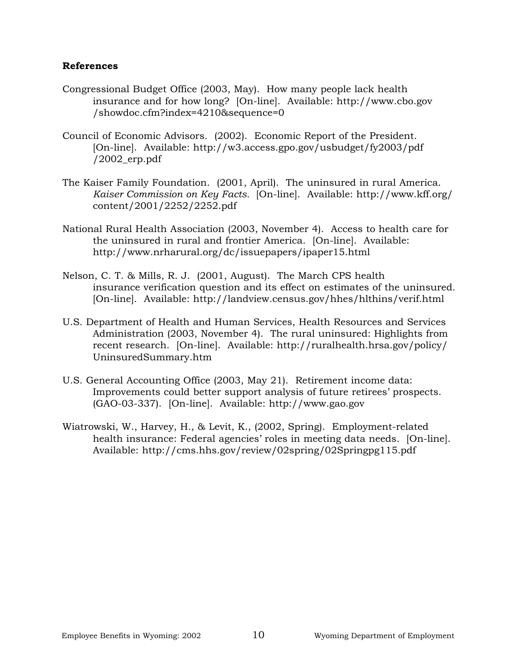#### **References**

- Congressional Budget Office (2003, May). How many people lack health insurance and for how long? [On-line]. Available: http://www.cbo.gov /showdoc.cfm?index=4210&sequence=0
- Council of Economic Advisors. (2002). Economic Report of the President. [On-line]. Available: http://w3.access.gpo.gov/usbudget/fy2003/pdf  $/2002$  erp.pdf
- The Kaiser Family Foundation. (2001, April). The uninsured in rural America. *Kaiser Commission on Key Facts.* [On-line]. Available: http://www.kff.org/ content/2001/2252/2252.pdf
- National Rural Health Association (2003, November 4). Access to health care for the uninsured in rural and frontier America. [On-line]. Available: http://www.nrharural.org/dc/issuepapers/ipaper15.html
- Nelson, C. T. & Mills, R. J. (2001, August). The March CPS health insurance verification question and its effect on estimates of the uninsured*.* [On-line]. Available: http://landview.census.gov/hhes/hlthins/verif.html
- U.S. Department of Health and Human Services, Health Resources and Services Administration (2003, November 4). The rural uninsured: Highlights from recent research. [On-line]. Available: http://ruralhealth.hrsa.gov/policy/ UninsuredSummary.htm
- U.S. General Accounting Office (2003, May 21). Retirement income data: Improvements could better support analysis of future retirees' prospects. (GAO-03-337). [On-line]. Available: http://www.gao.gov
- Wiatrowski, W., Harvey, H., & Levit, K., (2002, Spring). Employment-related health insurance: Federal agencies' roles in meeting data needs. [On-line]. Available: http://cms.hhs.gov/review/02spring/02Springpg115.pdf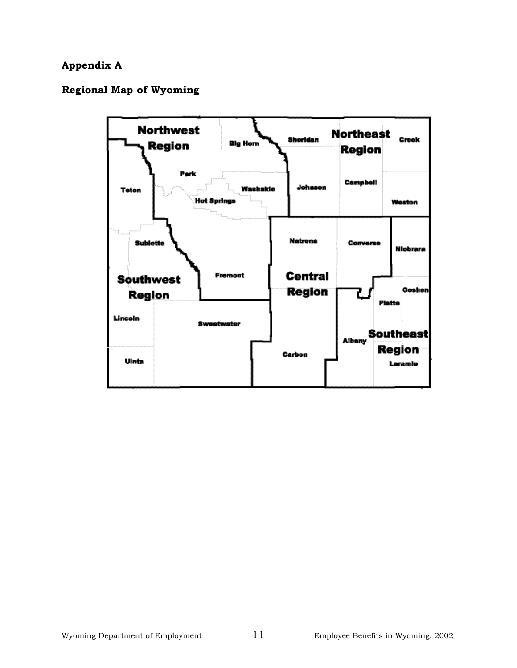## **Appendix A**

## **Regional Map of Wyoming**

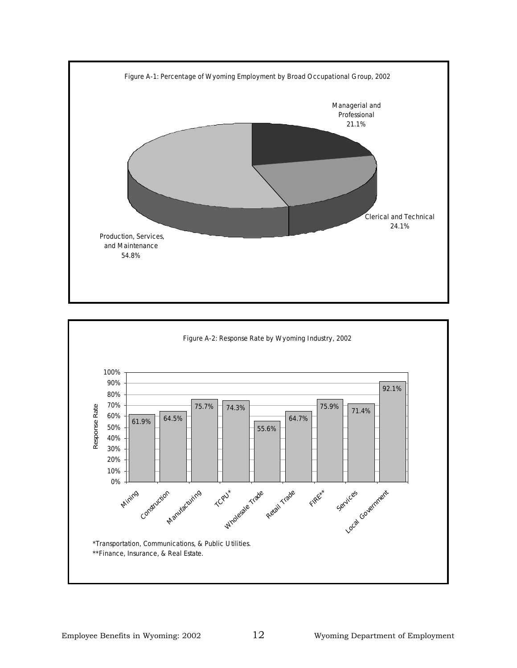

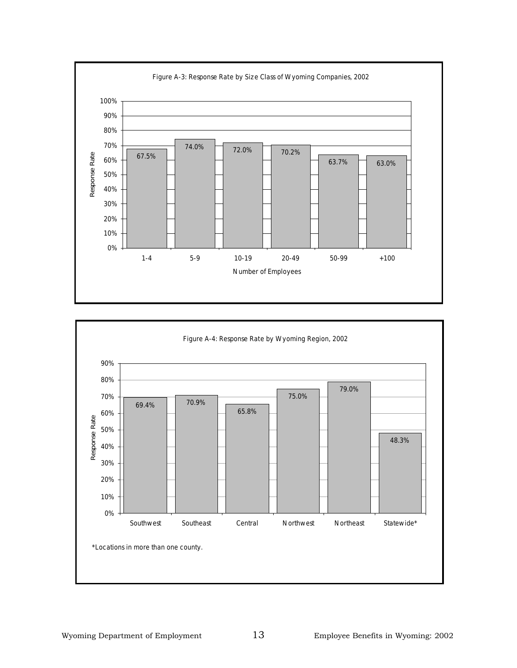

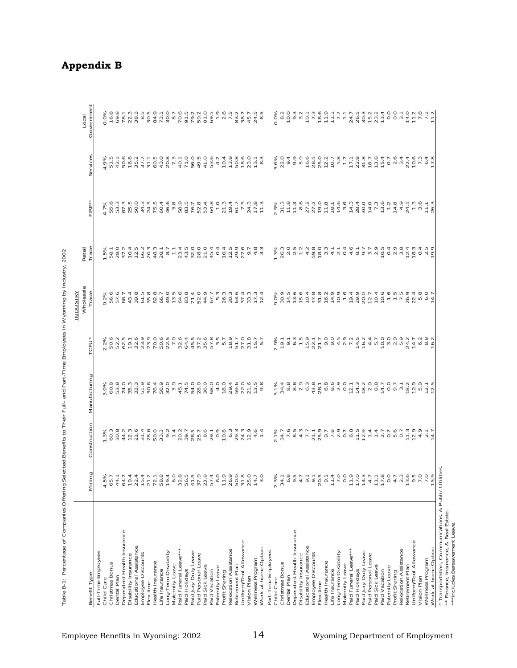| I<br>I                                                                         |
|--------------------------------------------------------------------------------|
|                                                                                |
|                                                                                |
|                                                                                |
| ֖֖֖֪ׅ֪֪ׅ֖֪ׅ֪ׅ֪ׅ֪֪֪ׅ֪֪ׅ֪֚֚֚֚֚֚֚֚֚֚֚֚֡֝֬֝֝֝֬֝֝֝֬֓֓֓֬֝֬֓֞֬֝֓֞֬֝֓֞֬֝֓֞֬֝֓֞֬֝֓֞֝֬֝֬ |
|                                                                                |
| ֕                                                                              |
| ֚֚֬                                                                            |
|                                                                                |
| $\frac{1}{2}$                                                                  |
|                                                                                |
|                                                                                |
|                                                                                |
| i                                                                              |
|                                                                                |
|                                                                                |
| i<br>֚֬֕                                                                       |
|                                                                                |
|                                                                                |
|                                                                                |
| ׇ֦֡֡<br>Í                                                                      |

| Benefit Type                                | Mining | Construction                                                                                                                                                                                                                      | Manufacturing                                                                   | ē                                                                                                    | <b>Wholesale</b><br><b>INDUSTRY</b><br>Trade                                             | Retail<br>Trade                                                                                                                                                     | EIR                                                                                                                                                                       | ervice<br>Ö                                                                                                      | Government<br>Local                                                                                                                                                                                                              |
|---------------------------------------------|--------|-----------------------------------------------------------------------------------------------------------------------------------------------------------------------------------------------------------------------------------|---------------------------------------------------------------------------------|------------------------------------------------------------------------------------------------------|------------------------------------------------------------------------------------------|---------------------------------------------------------------------------------------------------------------------------------------------------------------------|---------------------------------------------------------------------------------------------------------------------------------------------------------------------------|------------------------------------------------------------------------------------------------------------------|----------------------------------------------------------------------------------------------------------------------------------------------------------------------------------------------------------------------------------|
| Full-Time Employees                         |        |                                                                                                                                                                                                                                   |                                                                                 |                                                                                                      |                                                                                          |                                                                                                                                                                     |                                                                                                                                                                           |                                                                                                                  |                                                                                                                                                                                                                                  |
| Christmas Bonus<br>Child Care               | 4      |                                                                                                                                                                                                                                   |                                                                                 |                                                                                                      |                                                                                          |                                                                                                                                                                     |                                                                                                                                                                           |                                                                                                                  | o de de una de una de de de una de de una de de una de de una de de una de de una de de una de de una de de un<br>Se de una de de de de de de de de de de de de una de de una de de una de de una de de una de una de una de una |
| Dental Plan                                 |        |                                                                                                                                                                                                                                   |                                                                                 |                                                                                                      |                                                                                          |                                                                                                                                                                     |                                                                                                                                                                           |                                                                                                                  |                                                                                                                                                                                                                                  |
| Dependent Health Insurance                  |        | $\frac{1}{2}$ 3 8 4 5 7 6 7 6 7 6 7 7 8 7 7 7 7 8 7 7 7 7 8 7 7 8 7 7 8 7 8 7 8 7 8 7 8 7 8 7 8 7 8 7 8 7 8 7 8 7 8 7 8 7 8 7 8 7 8 7 8 7 8 7 8 7 8 7 8 7 8 7 8 7 8 7 8 7 8 7 8 7 8 7 8 7 8 7 8 7 8 7 8 7 8 7 8 7 8 7 8 7 8 7 8 7 | α<br>δουμεριστοριστοριστοριστοριστοριστορι<br>δουμεριστοριστοριστοριστοριστορισ | 2020年12月、19月12日、19日12日、19日12日、19日12日、19日12日、19日12日、19日12日、19日12日、19日12日、19日12日、19日12日、19日12日、19日12日、 |                                                                                          | FBSALD A SO BRA D - SA SALD O D 4 4 4 5 6 7 6 4 7<br>T B S D D J D O B S D - S D H D D D D D D D D D A D<br>S L O U 4 E U U U U L L L 4 E O O O 4 4 4 E O U D D B U |                                                                                                                                                                           | e tradicional de l'adde de l'anglation<br>d'Edde d'Arconomie de l'Arconomie<br>d'Edde d'Arconomie de l'Arconomie |                                                                                                                                                                                                                                  |
| Disability Insurance                        |        |                                                                                                                                                                                                                                   |                                                                                 |                                                                                                      |                                                                                          |                                                                                                                                                                     |                                                                                                                                                                           |                                                                                                                  |                                                                                                                                                                                                                                  |
| Educational Assistance                      |        |                                                                                                                                                                                                                                   |                                                                                 |                                                                                                      |                                                                                          |                                                                                                                                                                     |                                                                                                                                                                           |                                                                                                                  |                                                                                                                                                                                                                                  |
| Employee Discounts                          |        |                                                                                                                                                                                                                                   |                                                                                 |                                                                                                      |                                                                                          |                                                                                                                                                                     |                                                                                                                                                                           |                                                                                                                  |                                                                                                                                                                                                                                  |
| Health Insurance<br>Flex-time               |        |                                                                                                                                                                                                                                   |                                                                                 |                                                                                                      |                                                                                          |                                                                                                                                                                     |                                                                                                                                                                           |                                                                                                                  |                                                                                                                                                                                                                                  |
| Life Insurance                              |        |                                                                                                                                                                                                                                   |                                                                                 |                                                                                                      |                                                                                          |                                                                                                                                                                     |                                                                                                                                                                           |                                                                                                                  |                                                                                                                                                                                                                                  |
| Long-Term Disability                        |        |                                                                                                                                                                                                                                   |                                                                                 |                                                                                                      |                                                                                          |                                                                                                                                                                     |                                                                                                                                                                           |                                                                                                                  |                                                                                                                                                                                                                                  |
| Maternity Leave                             |        |                                                                                                                                                                                                                                   |                                                                                 |                                                                                                      |                                                                                          |                                                                                                                                                                     |                                                                                                                                                                           |                                                                                                                  |                                                                                                                                                                                                                                  |
| Paid Funeral Leave***                       |        |                                                                                                                                                                                                                                   |                                                                                 |                                                                                                      |                                                                                          |                                                                                                                                                                     |                                                                                                                                                                           |                                                                                                                  |                                                                                                                                                                                                                                  |
| Paid Holidays                               |        |                                                                                                                                                                                                                                   |                                                                                 |                                                                                                      |                                                                                          |                                                                                                                                                                     |                                                                                                                                                                           |                                                                                                                  |                                                                                                                                                                                                                                  |
| Paid Jury Duty Leave<br>Paid Personal Leave |        |                                                                                                                                                                                                                                   |                                                                                 |                                                                                                      |                                                                                          |                                                                                                                                                                     |                                                                                                                                                                           |                                                                                                                  |                                                                                                                                                                                                                                  |
| Paid Sick Leave                             |        |                                                                                                                                                                                                                                   |                                                                                 |                                                                                                      |                                                                                          |                                                                                                                                                                     |                                                                                                                                                                           |                                                                                                                  |                                                                                                                                                                                                                                  |
| Paid Vacation                               |        |                                                                                                                                                                                                                                   |                                                                                 |                                                                                                      |                                                                                          |                                                                                                                                                                     |                                                                                                                                                                           |                                                                                                                  |                                                                                                                                                                                                                                  |
| Paternity Leave                             |        |                                                                                                                                                                                                                                   |                                                                                 |                                                                                                      |                                                                                          |                                                                                                                                                                     |                                                                                                                                                                           |                                                                                                                  |                                                                                                                                                                                                                                  |
| Profit Sharing                              |        |                                                                                                                                                                                                                                   |                                                                                 |                                                                                                      |                                                                                          |                                                                                                                                                                     |                                                                                                                                                                           |                                                                                                                  |                                                                                                                                                                                                                                  |
| Relocation Assistance                       |        |                                                                                                                                                                                                                                   |                                                                                 |                                                                                                      |                                                                                          |                                                                                                                                                                     |                                                                                                                                                                           |                                                                                                                  |                                                                                                                                                                                                                                  |
| Retirement Plan                             |        |                                                                                                                                                                                                                                   |                                                                                 |                                                                                                      |                                                                                          |                                                                                                                                                                     |                                                                                                                                                                           |                                                                                                                  |                                                                                                                                                                                                                                  |
| Uniform/Tool Allowance<br>Vision Plan       |        |                                                                                                                                                                                                                                   |                                                                                 |                                                                                                      |                                                                                          |                                                                                                                                                                     |                                                                                                                                                                           |                                                                                                                  |                                                                                                                                                                                                                                  |
| Wellness Program                            |        |                                                                                                                                                                                                                                   |                                                                                 |                                                                                                      |                                                                                          |                                                                                                                                                                     |                                                                                                                                                                           |                                                                                                                  |                                                                                                                                                                                                                                  |
| Work-at-home Option                         |        |                                                                                                                                                                                                                                   |                                                                                 |                                                                                                      |                                                                                          |                                                                                                                                                                     |                                                                                                                                                                           |                                                                                                                  |                                                                                                                                                                                                                                  |
| Part-Time Employees                         |        |                                                                                                                                                                                                                                   |                                                                                 |                                                                                                      |                                                                                          |                                                                                                                                                                     |                                                                                                                                                                           |                                                                                                                  |                                                                                                                                                                                                                                  |
| Child Care                                  | $\sim$ |                                                                                                                                                                                                                                   |                                                                                 |                                                                                                      |                                                                                          |                                                                                                                                                                     |                                                                                                                                                                           | $\sim$                                                                                                           | o<br>o a o a a o c a c c c c c a d o a d a c a a c c a d c a c c<br>% a o a a c a o c c c c c a d a d a c c c c c c a c c                                                                                                        |
| Christmas Bonus                             | S      |                                                                                                                                                                                                                                   |                                                                                 |                                                                                                      |                                                                                          |                                                                                                                                                                     |                                                                                                                                                                           |                                                                                                                  |                                                                                                                                                                                                                                  |
| Dependent Health Insurance<br>Dental Plan   |        |                                                                                                                                                                                                                                   |                                                                                 |                                                                                                      |                                                                                          |                                                                                                                                                                     |                                                                                                                                                                           |                                                                                                                  |                                                                                                                                                                                                                                  |
| Disability Insurance                        |        |                                                                                                                                                                                                                                   |                                                                                 |                                                                                                      |                                                                                          |                                                                                                                                                                     |                                                                                                                                                                           |                                                                                                                  |                                                                                                                                                                                                                                  |
| Educational Assistance                      |        |                                                                                                                                                                                                                                   |                                                                                 |                                                                                                      |                                                                                          |                                                                                                                                                                     |                                                                                                                                                                           |                                                                                                                  |                                                                                                                                                                                                                                  |
| Employee Discounts                          |        |                                                                                                                                                                                                                                   |                                                                                 |                                                                                                      |                                                                                          |                                                                                                                                                                     |                                                                                                                                                                           |                                                                                                                  |                                                                                                                                                                                                                                  |
| Flex-time                                   |        |                                                                                                                                                                                                                                   |                                                                                 |                                                                                                      |                                                                                          |                                                                                                                                                                     |                                                                                                                                                                           |                                                                                                                  |                                                                                                                                                                                                                                  |
| Health Insurance<br>Life Insurance          |        |                                                                                                                                                                                                                                   |                                                                                 |                                                                                                      |                                                                                          |                                                                                                                                                                     |                                                                                                                                                                           |                                                                                                                  |                                                                                                                                                                                                                                  |
| Long-Term Disability                        |        |                                                                                                                                                                                                                                   |                                                                                 |                                                                                                      |                                                                                          |                                                                                                                                                                     |                                                                                                                                                                           |                                                                                                                  |                                                                                                                                                                                                                                  |
| Maternity Leave                             |        |                                                                                                                                                                                                                                   |                                                                                 |                                                                                                      |                                                                                          |                                                                                                                                                                     |                                                                                                                                                                           |                                                                                                                  |                                                                                                                                                                                                                                  |
| Paid Funeral Leave**                        |        |                                                                                                                                                                                                                                   |                                                                                 |                                                                                                      |                                                                                          |                                                                                                                                                                     |                                                                                                                                                                           |                                                                                                                  |                                                                                                                                                                                                                                  |
| Paid Holidays                               |        |                                                                                                                                                                                                                                   |                                                                                 |                                                                                                      |                                                                                          |                                                                                                                                                                     |                                                                                                                                                                           |                                                                                                                  |                                                                                                                                                                                                                                  |
| Paid Jury Duty Leave<br>Paid Personal Leave |        |                                                                                                                                                                                                                                   |                                                                                 |                                                                                                      |                                                                                          |                                                                                                                                                                     |                                                                                                                                                                           |                                                                                                                  |                                                                                                                                                                                                                                  |
| Paid Sick Leave                             |        |                                                                                                                                                                                                                                   |                                                                                 |                                                                                                      |                                                                                          |                                                                                                                                                                     |                                                                                                                                                                           |                                                                                                                  |                                                                                                                                                                                                                                  |
| Paid Vacation                               |        |                                                                                                                                                                                                                                   |                                                                                 |                                                                                                      |                                                                                          |                                                                                                                                                                     |                                                                                                                                                                           |                                                                                                                  |                                                                                                                                                                                                                                  |
| Paternity Leave                             |        | via<br>5 4 5 6 4 5 7 8 9 6 7 9 0 7 8 9 7 7 7 7 9 0 0 1 7 9 9 7 7<br>8 7 9 0 0 1 7 7 9 0 7 0 0 7 0 0 1 0 1 1 7 7 8 7 0 0 1 1                                                                                                       |                                                                                 |                                                                                                      | o: 8 はほほのれたがれの「いののこれらら言うなどをもっているのは、そのことのようになっているのは、そのことのようのでは、そのことは、そのことは、そのことのことのことのこと。 |                                                                                                                                                                     | rin F L a V V L L L L L L V U L L L L L 4 4 4 L W L S<br>R U B L L a V V L L L L L L L V U L L L L L 4 4 L W L V<br>8 u B U G U G U G D L G Q U 4 O G W G U B D L U G L U | ミンクトラクランストロライト88784704402480メートのことでしょうということでしょうか。 インター・インター アイ・シー・ファイル                                           |                                                                                                                                                                                                                                  |
| Relocation Assistance<br>Profit Sharing     |        |                                                                                                                                                                                                                                   |                                                                                 |                                                                                                      |                                                                                          |                                                                                                                                                                     |                                                                                                                                                                           |                                                                                                                  |                                                                                                                                                                                                                                  |
| Retirement Plan                             |        |                                                                                                                                                                                                                                   |                                                                                 |                                                                                                      |                                                                                          |                                                                                                                                                                     |                                                                                                                                                                           |                                                                                                                  |                                                                                                                                                                                                                                  |
| Uniform/Tool Allowance                      |        |                                                                                                                                                                                                                                   |                                                                                 |                                                                                                      |                                                                                          |                                                                                                                                                                     |                                                                                                                                                                           |                                                                                                                  |                                                                                                                                                                                                                                  |
| Vision Plan                                 |        |                                                                                                                                                                                                                                   |                                                                                 |                                                                                                      |                                                                                          |                                                                                                                                                                     |                                                                                                                                                                           |                                                                                                                  |                                                                                                                                                                                                                                  |
| Wellness Program                            |        |                                                                                                                                                                                                                                   |                                                                                 |                                                                                                      |                                                                                          |                                                                                                                                                                     |                                                                                                                                                                           |                                                                                                                  |                                                                                                                                                                                                                                  |
| Work-at-home Option                         | ம்     |                                                                                                                                                                                                                                   |                                                                                 |                                                                                                      |                                                                                          |                                                                                                                                                                     |                                                                                                                                                                           |                                                                                                                  |                                                                                                                                                                                                                                  |

# **Appendix B**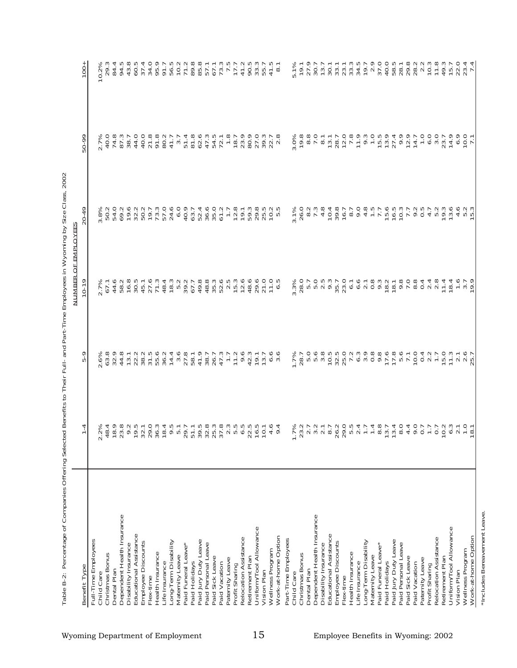| Benefit Type                                       | 4                          | ᡐ<br>ю                           | $10-1$                                                                                           | $\dot{6}$<br>$\overline{20}$                                                               | ق<br>50                                                                                                                                                                                                                                                                                      | 8<br>٣                                |
|----------------------------------------------------|----------------------------|----------------------------------|--------------------------------------------------------------------------------------------------|--------------------------------------------------------------------------------------------|----------------------------------------------------------------------------------------------------------------------------------------------------------------------------------------------------------------------------------------------------------------------------------------------|---------------------------------------|
| Full-Time Employees                                |                            |                                  |                                                                                                  |                                                                                            |                                                                                                                                                                                                                                                                                              |                                       |
| Child Care                                         |                            |                                  | $2.7%$<br>67.1                                                                                   | 3.8%<br>50.2<br>54.0.2<br>69.2<br>$\dot{\infty}$                                           | $2.7\%$<br>40.0<br>74.8                                                                                                                                                                                                                                                                      | 0.2%                                  |
| Christmas Bonus                                    |                            |                                  |                                                                                                  |                                                                                            |                                                                                                                                                                                                                                                                                              | .∾<br>29                              |
| Dental Plan                                        |                            |                                  |                                                                                                  |                                                                                            |                                                                                                                                                                                                                                                                                              |                                       |
| Dependent Health Insurance                         |                            |                                  |                                                                                                  |                                                                                            |                                                                                                                                                                                                                                                                                              |                                       |
| Disability Insurance                               |                            |                                  |                                                                                                  |                                                                                            | $\begin{array}{c} 87.3 \\ 7.3 \\ 8.7 \\ 0.0 \\ 0.0 \\ \end{array}$                                                                                                                                                                                                                           |                                       |
| Educational Assistance                             |                            |                                  |                                                                                                  |                                                                                            |                                                                                                                                                                                                                                                                                              |                                       |
| Employee Discounts                                 |                            |                                  |                                                                                                  |                                                                                            |                                                                                                                                                                                                                                                                                              |                                       |
| Health Insurance<br>Flex-time                      |                            |                                  |                                                                                                  |                                                                                            | $7.884$<br>$7.884$                                                                                                                                                                                                                                                                           |                                       |
| Life Insurance                                     |                            |                                  |                                                                                                  |                                                                                            |                                                                                                                                                                                                                                                                                              |                                       |
| Long-Term Disability                               |                            |                                  |                                                                                                  |                                                                                            |                                                                                                                                                                                                                                                                                              |                                       |
| Maternity Leave                                    |                            |                                  |                                                                                                  |                                                                                            | 3.7                                                                                                                                                                                                                                                                                          |                                       |
| Paid Funeral Leave*                                |                            |                                  |                                                                                                  |                                                                                            | 51.4                                                                                                                                                                                                                                                                                         |                                       |
| Paid Holidays                                      |                            |                                  |                                                                                                  |                                                                                            |                                                                                                                                                                                                                                                                                              |                                       |
| Paid Jury Duty Leave                               |                            |                                  |                                                                                                  |                                                                                            |                                                                                                                                                                                                                                                                                              |                                       |
| Paid Personal Leave                                |                            |                                  |                                                                                                  |                                                                                            |                                                                                                                                                                                                                                                                                              |                                       |
| Paid Sick Leave                                    |                            |                                  |                                                                                                  |                                                                                            |                                                                                                                                                                                                                                                                                              |                                       |
| Paid Vacation                                      |                            |                                  |                                                                                                  |                                                                                            | 8<br>2021<br>2022<br>2022<br>2022<br>2022                                                                                                                                                                                                                                                    |                                       |
| Paternity Leave<br>Profit Sharing                  |                            |                                  |                                                                                                  | $7.7$<br>$7.8$<br>$19.1$                                                                   |                                                                                                                                                                                                                                                                                              |                                       |
| Relocation Assistance                              |                            |                                  |                                                                                                  |                                                                                            |                                                                                                                                                                                                                                                                                              |                                       |
| Retirement Plan                                    |                            |                                  |                                                                                                  |                                                                                            |                                                                                                                                                                                                                                                                                              |                                       |
| Uniform/Tool Allowance                             |                            | 42.3<br>19.1                     |                                                                                                  | 5<br>5<br>5<br>5<br>5<br>5<br>7<br>5<br>7<br>5<br>7<br>5<br>7<br>5<br>7<br>5<br>7<br>7<br> |                                                                                                                                                                                                                                                                                              |                                       |
| Vision Plan                                        |                            | 3.7                              |                                                                                                  |                                                                                            | 27.0                                                                                                                                                                                                                                                                                         |                                       |
| Wellness Program                                   |                            |                                  | $\circ$<br>$\frac{1}{2}$                                                                         | Uю<br>$\circ$                                                                              | $39.3$<br>$2.7$<br>$2.8$                                                                                                                                                                                                                                                                     | 41.                                   |
| Work-at-home Option                                |                            | $6.6$<br>3.6                     | S                                                                                                | LO                                                                                         |                                                                                                                                                                                                                                                                                              | $\infty$                              |
| Part-Time Employees                                |                            |                                  |                                                                                                  |                                                                                            |                                                                                                                                                                                                                                                                                              |                                       |
| Child Care                                         |                            | 7%                               | $3%$<br>$.8$<br>$.0$<br>$\dot{\infty}$                                                           | 3.1%<br>26.0                                                                               | 0%<br>$\frac{1}{20}$ $\frac{1}{2}$                                                                                                                                                                                                                                                           | 5.1%<br>19.1                          |
| Christmas Bonus                                    |                            | 28.7                             | $\sim$                                                                                           |                                                                                            | 9.8                                                                                                                                                                                                                                                                                          |                                       |
| Dental Plan                                        |                            |                                  | r.<br>LO.                                                                                        | $\overline{\mathcal{N}}$<br>$\infty$                                                       |                                                                                                                                                                                                                                                                                              | 27.9<br>30.7<br>30.7<br>30.1          |
| Dependent Health Insurance<br>Disability Insurance |                            |                                  |                                                                                                  | 7.3<br>4.8                                                                                 | $\begin{array}{c} 0.00000 \\ 0.00000 \\ \hline \end{array}$                                                                                                                                                                                                                                  |                                       |
| Educational Assistance                             |                            |                                  |                                                                                                  | 10.4                                                                                       |                                                                                                                                                                                                                                                                                              |                                       |
| Employee Discounts                                 |                            |                                  |                                                                                                  | 39.8                                                                                       |                                                                                                                                                                                                                                                                                              | 33.1                                  |
| Flex-time                                          |                            |                                  |                                                                                                  | 16.7                                                                                       |                                                                                                                                                                                                                                                                                              |                                       |
| Health Insurance                                   |                            |                                  |                                                                                                  | 8.7                                                                                        |                                                                                                                                                                                                                                                                                              |                                       |
| Life Insurance                                     |                            |                                  |                                                                                                  | $0.8007$<br>$0.8007$                                                                       |                                                                                                                                                                                                                                                                                              |                                       |
| Long-Term Disability                               |                            |                                  |                                                                                                  |                                                                                            |                                                                                                                                                                                                                                                                                              |                                       |
| Maternity Leave                                    |                            |                                  |                                                                                                  |                                                                                            |                                                                                                                                                                                                                                                                                              |                                       |
| Paid Funeral Leave*<br>Paid Holidays               |                            |                                  | $\begin{array}{c}\n 0 \\  0 \\  1 \\  0 \\  0 \\  0 \\  0 \\  0 \\  0 \\  0 \\  0\n \end{array}$ | 15.6                                                                                       | $\begin{array}{c} 1\  \  \, 0\  \  \, 0\  \  \, 0\  \  \, 0\  \  \, 0\  \  \, 0\  \  \, 0\  \  \, 0\  \  \, 0\  \  \, 0\  \  \, 0\  \  \, 0\  \  \, 0\  \  \, 0\  \  \, 0\  \  \, 0\  \  \, 0\  \  \, 0\  \  \, 0\  \  \, 0\  \  \, 0\  \  \, 0\  \  \, 0\  \  \, 0\  \  \, 0\  \  \, 0\  \$ |                                       |
| Paid Jury Duty Leave                               |                            |                                  |                                                                                                  |                                                                                            |                                                                                                                                                                                                                                                                                              |                                       |
| Paid Personal Leave                                |                            |                                  |                                                                                                  | $16.5$<br>$10.3$                                                                           | 27.4<br>0.9<br>12.9<br>14.7                                                                                                                                                                                                                                                                  | Suure warus<br>Suuressa<br>Luureoon-  |
| Paid Sick Leave                                    |                            |                                  |                                                                                                  |                                                                                            |                                                                                                                                                                                                                                                                                              |                                       |
| Paid Vacation                                      |                            | 10.0                             |                                                                                                  | 7. 7. 9.<br>7. 9. 9. 7.                                                                    |                                                                                                                                                                                                                                                                                              |                                       |
| Paternity Leave                                    |                            | $0.4$<br>$0.7$<br>$0.7$          | $0.48$<br>$0.48$                                                                                 |                                                                                            | $7.0007$<br>$7.0007$<br>$2.30$                                                                                                                                                                                                                                                               |                                       |
| Profit Sharing                                     |                            |                                  |                                                                                                  | $4.7$<br>5.2                                                                               |                                                                                                                                                                                                                                                                                              |                                       |
| Relocation Assistance                              |                            |                                  |                                                                                                  |                                                                                            |                                                                                                                                                                                                                                                                                              | $20000000007$ $2000000000$ $20000000$ |
| Retirement Plan                                    |                            |                                  | 11.4                                                                                             | 19.3                                                                                       |                                                                                                                                                                                                                                                                                              |                                       |
| Uniform/Tool Allowance<br>Vision Plan              |                            | $15.700$<br>$77.700$<br>$75.700$ | 18.4                                                                                             | 13.6<br>P                                                                                  | $7400$<br>$700$<br>$700$<br>$71$                                                                                                                                                                                                                                                             |                                       |
| Wellness Program                                   |                            |                                  | $7.9$<br>$7.9$<br>$9.7$                                                                          | 400                                                                                        |                                                                                                                                                                                                                                                                                              | 22.4<br>23.4<br>7.4                   |
| Work-at-home Option                                | $\infty$<br>$\overline{ }$ |                                  |                                                                                                  | U W                                                                                        |                                                                                                                                                                                                                                                                                              |                                       |
|                                                    |                            |                                  |                                                                                                  |                                                                                            |                                                                                                                                                                                                                                                                                              |                                       |

**Table B-2: Percenta ge of Companies Offering Selected Benefits to Their Full- and Part-Time Employees in Wyoming by Size Class, 2002**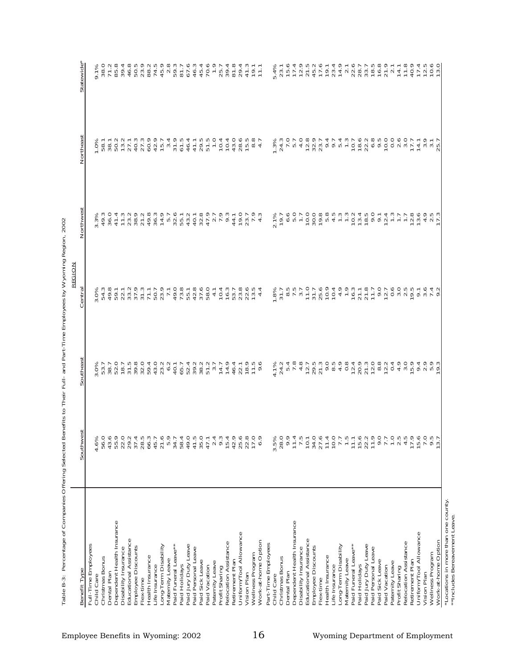| Benefit Type                              | ದ<br>Southwe                                                                 | Southeas                                                                                                  | Centra                                                | Northwest                                                                                                                                                          | Northeas                                                | Statewide                                                                                                                                     |
|-------------------------------------------|------------------------------------------------------------------------------|-----------------------------------------------------------------------------------------------------------|-------------------------------------------------------|--------------------------------------------------------------------------------------------------------------------------------------------------------------------|---------------------------------------------------------|-----------------------------------------------------------------------------------------------------------------------------------------------|
| Full-Time Employees                       |                                                                              |                                                                                                           |                                                       |                                                                                                                                                                    |                                                         |                                                                                                                                               |
| Child Care                                | 4.6%                                                                         |                                                                                                           |                                                       |                                                                                                                                                                    |                                                         |                                                                                                                                               |
| Christmas Bonus                           | 56.0                                                                         |                                                                                                           |                                                       |                                                                                                                                                                    |                                                         |                                                                                                                                               |
| Dental Plan                               | 43.6<br>55.9                                                                 |                                                                                                           |                                                       |                                                                                                                                                                    |                                                         |                                                                                                                                               |
| Dependent Health Insurance                |                                                                              |                                                                                                           |                                                       |                                                                                                                                                                    |                                                         |                                                                                                                                               |
| Disability Insurance                      | 22.0                                                                         |                                                                                                           |                                                       |                                                                                                                                                                    |                                                         |                                                                                                                                               |
| Educational Assistance                    | 29.2                                                                         |                                                                                                           |                                                       |                                                                                                                                                                    |                                                         |                                                                                                                                               |
| Employee Discounts                        | 37.4                                                                         | an an t-an ann an t-an ann an t-<br>Ouncide t-an an an aonradh an t-an<br>Sri Cri moo 4 Oun - Lau unil La |                                                       | <sup>ω</sup> 4 ω 4 – 5 ω 2 4 ω 4 ω - ω m 4 4 ω 4<br>ω 6 ο 4 – ω ω Γ 6 ο 4 π υ m ω ώ 6 ύ Γ σ μ ο 4 ο ω ι 4<br>% ω 0 4 ω σ ο ύ ω ώ ο ι ο ί σ ί ω ο ι ο ώ ί ο ι ο ώ ί |                                                         | e w L m w 4 m v m v 4 m w m m d 4 4 L v w w m<br>L m L m v 4 O w m 4 m v 0 L L 4 m O L M v 2 L<br>% O v m 4 m m o v m o m u r o w 4 d o L 4 m |
| Health Insurance<br>Flex-time             | 28.5<br>66.3                                                                 |                                                                                                           |                                                       |                                                                                                                                                                    |                                                         |                                                                                                                                               |
| Life Insurance                            | 45.7                                                                         |                                                                                                           |                                                       |                                                                                                                                                                    |                                                         |                                                                                                                                               |
| Long-Term Disability                      |                                                                              |                                                                                                           |                                                       |                                                                                                                                                                    | $7000740$<br>$7000740$<br>$7000740$                     |                                                                                                                                               |
| Maternity Leave                           | $21.6$<br>5.9                                                                |                                                                                                           |                                                       |                                                                                                                                                                    |                                                         |                                                                                                                                               |
| Paid Funeral Leave**                      | 34.7                                                                         |                                                                                                           |                                                       |                                                                                                                                                                    |                                                         |                                                                                                                                               |
| Paid Holidays                             | 58.4                                                                         |                                                                                                           |                                                       |                                                                                                                                                                    |                                                         |                                                                                                                                               |
| Paid Jury Duty Leave                      | 49.0                                                                         |                                                                                                           |                                                       |                                                                                                                                                                    |                                                         |                                                                                                                                               |
| Paid Personal Leave                       | 41.5                                                                         |                                                                                                           |                                                       |                                                                                                                                                                    |                                                         |                                                                                                                                               |
| Paid Sick Leave                           | 35.0                                                                         |                                                                                                           |                                                       |                                                                                                                                                                    |                                                         |                                                                                                                                               |
| Paid Vacation                             | 47.1                                                                         |                                                                                                           |                                                       |                                                                                                                                                                    |                                                         |                                                                                                                                               |
| Paternity Leave<br>Profit Sharing         | $2.\overline{3}$                                                             |                                                                                                           |                                                       |                                                                                                                                                                    | 10.4                                                    |                                                                                                                                               |
| Relocation Assistance                     | 15.4                                                                         |                                                                                                           |                                                       |                                                                                                                                                                    |                                                         |                                                                                                                                               |
| Retirement Plan                           | 42.9                                                                         | 46.4                                                                                                      |                                                       |                                                                                                                                                                    | $10.4$<br>43.0                                          |                                                                                                                                               |
| Uniform/Tool Allowance                    | 25.6                                                                         |                                                                                                           |                                                       |                                                                                                                                                                    | 28.6                                                    | 29.4                                                                                                                                          |
| Vision Plan                               | 22.8                                                                         | $22.1$<br>$18.9$                                                                                          | 4 D H D M M H<br>4 D H W W W W 4<br>4 D H W W W W H 4 |                                                                                                                                                                    | 15.5                                                    | $47.3$<br>$79.7$<br>$71.7$                                                                                                                    |
| Wellness Program                          | 17.0                                                                         | $11.5$<br>9.6                                                                                             |                                                       |                                                                                                                                                                    | $\frac{8}{4}$ .7                                        |                                                                                                                                               |
| Work-at-home Option                       | 6.9                                                                          |                                                                                                           |                                                       |                                                                                                                                                                    |                                                         |                                                                                                                                               |
| Part-Time Employees                       |                                                                              |                                                                                                           |                                                       |                                                                                                                                                                    |                                                         |                                                                                                                                               |
| Child Care                                | 3.5%                                                                         |                                                                                                           | $\frac{1.8\%}{31.7}$                                  |                                                                                                                                                                    | $1.3%$<br>24.3                                          |                                                                                                                                               |
| Christmas Bonus                           | 28.0                                                                         |                                                                                                           |                                                       |                                                                                                                                                                    |                                                         |                                                                                                                                               |
| Dependent Health Insurance<br>Dental Plan | 9.9                                                                          |                                                                                                           |                                                       |                                                                                                                                                                    |                                                         |                                                                                                                                               |
| Disability Insurance                      |                                                                              |                                                                                                           |                                                       |                                                                                                                                                                    |                                                         |                                                                                                                                               |
| Educational Assistance                    | $\frac{7}{1}$ , 5<br>10.1                                                    |                                                                                                           |                                                       |                                                                                                                                                                    |                                                         |                                                                                                                                               |
| Employee Discounts                        | 34.0                                                                         |                                                                                                           |                                                       |                                                                                                                                                                    |                                                         |                                                                                                                                               |
| Flex-time                                 | $27.6$<br>11.4                                                               |                                                                                                           |                                                       |                                                                                                                                                                    |                                                         |                                                                                                                                               |
| Health Insurance                          |                                                                              |                                                                                                           |                                                       |                                                                                                                                                                    |                                                         |                                                                                                                                               |
| Life Insurance                            |                                                                              |                                                                                                           |                                                       |                                                                                                                                                                    |                                                         |                                                                                                                                               |
| Long-Term Disability<br>Maternity Leave   | $77.5$<br>$7.7$<br>$7.7$<br>$1.1$                                            |                                                                                                           |                                                       |                                                                                                                                                                    |                                                         |                                                                                                                                               |
| Paid Funeral Leave**                      |                                                                              |                                                                                                           |                                                       |                                                                                                                                                                    |                                                         |                                                                                                                                               |
| Paid Holidays                             |                                                                              |                                                                                                           |                                                       |                                                                                                                                                                    |                                                         |                                                                                                                                               |
| Paid Jury Duty Leave                      |                                                                              |                                                                                                           |                                                       |                                                                                                                                                                    |                                                         |                                                                                                                                               |
| Paid Personal Leave                       | $\begin{array}{c} 15.6 \\ 22.7 \\ 7 \\ 8 \\ 1 \\ 9 \\ 0 \\ 7 \\ \end{array}$ | 4.<br>ΓΑπνασριώνου ααοσοιστοποιανώρου πρ<br>Χατωσνηνοπορατονοσαντοροτορίο                                 | 8. マラいいとのは、おけいにいいのできょうからこうです。 こういいうしょう いっこう うちょう こうこう | 21<br>とのようのののほうとうには思いてんこことのからことからのです。                                                                                                                              | <b>てきょうのとんかりもしのほどもののことです。それはそうりょうほうのうかいかい。そうのうとうです。</b> |                                                                                                                                               |
| Paid Sick Leave                           |                                                                              |                                                                                                           |                                                       |                                                                                                                                                                    |                                                         |                                                                                                                                               |
| Paternity Leave<br>Paid Vacation          |                                                                              |                                                                                                           |                                                       |                                                                                                                                                                    |                                                         |                                                                                                                                               |
| Profit Sharing                            |                                                                              |                                                                                                           |                                                       |                                                                                                                                                                    |                                                         |                                                                                                                                               |
| Relocation Assistance                     |                                                                              |                                                                                                           |                                                       |                                                                                                                                                                    |                                                         |                                                                                                                                               |
| Retirement Plan                           |                                                                              |                                                                                                           |                                                       |                                                                                                                                                                    |                                                         |                                                                                                                                               |
| Uniform/Tool Allowance                    |                                                                              |                                                                                                           |                                                       |                                                                                                                                                                    |                                                         |                                                                                                                                               |
| Vision Plan                               |                                                                              |                                                                                                           |                                                       |                                                                                                                                                                    | $74.7$<br>$4.9$<br>$7.7$<br>$25.7$                      |                                                                                                                                               |
| Work-at-home Option<br>Wellness Program   |                                                                              |                                                                                                           |                                                       |                                                                                                                                                                    |                                                         | $141100$ $-41100$ $-0.00$                                                                                                                     |
|                                           |                                                                              |                                                                                                           |                                                       |                                                                                                                                                                    |                                                         |                                                                                                                                               |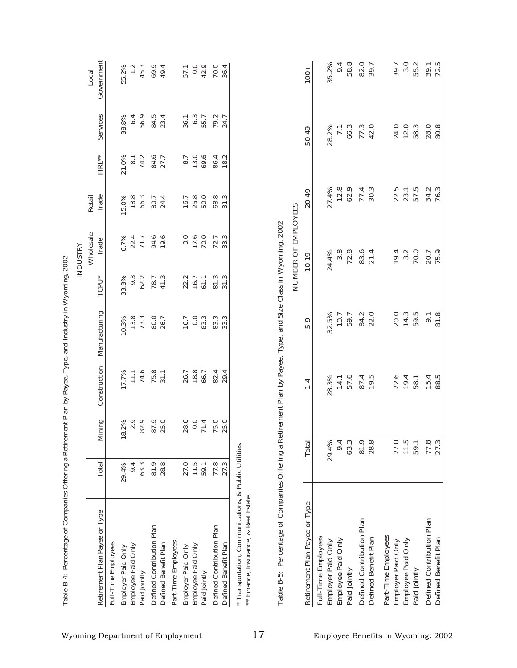| Retirement Plan Payee or Type<br>Full-Time Employees                                                          |                |             |                |               |       | Wholesale               |                 |                  |                  |                     |
|---------------------------------------------------------------------------------------------------------------|----------------|-------------|----------------|---------------|-------|-------------------------|-----------------|------------------|------------------|---------------------|
|                                                                                                               | Total          | Mining      | Construction   | Manufacturing | TCPU* | Trade                   | Trade<br>Retail | FIRE**           | Services         | Government<br>Local |
|                                                                                                               |                |             |                |               |       |                         |                 |                  |                  |                     |
| Employer Paid Only                                                                                            | 29.4%          | 18.2%       | 17.7%          | 10.3%         | 33.3% |                         | 15.0%           | 21.0%            | 38.8%            | 55.2%               |
| Employee Paid Only                                                                                            | 9.4            |             | $\frac{1}{11}$ | 13.8          | 9.3   |                         | 18.8            | $\overline{8}$ . | 6.4              | $\ddot{ }$ .        |
| Paid Jointly                                                                                                  | 63.3           | 2.9<br>82.9 | 74.6           | 73.3          | 62.2  | $6.7\%$<br>22.4<br>71.7 | 66.3            | 74.2             | 56.9             | 45.3                |
| Defined Contribution Plan                                                                                     | 81.9           | 87.9        | 75.8           | 80.0          | 78.7  | 94.6                    | 80.7            | 84.6             | 84.5             | 69.9                |
| Defined Benefit Plan                                                                                          | 28.8           | 25.0        | 31.1           | 26.7          | 41.3  | 19.6                    | 24.4            | 27.7             | 23.4             | 49.4                |
| Part-Time Employees                                                                                           |                |             |                |               |       |                         |                 |                  |                  |                     |
| Employer Paid Only                                                                                            | 27.0           | 28.6        | 26.7           | 16.7          | 22.2  | 0.0                     | 16.7            | 8.7              | 36.1             | 57.1                |
| Employee Paid Only                                                                                            | $11.5$<br>59.1 | 0.0         | 18.8           | 0.0           | 16.7  | 17.6                    | 25.8            |                  | 6.3              | 0.0                 |
| Paid Jointly                                                                                                  |                | 71.4        | 66.7           | 83.3          | 61.1  | 70.0                    | 50.0            | $13.0$<br>69.6   | 55.7             | 42.9                |
| Defined Contribution Plan                                                                                     | 77.8           | 75.0        | 82.4           | 83.3          | 81.3  | 72.7                    |                 | 86.4             | 79.2             | 70.0                |
| Defined Benefit Plan                                                                                          | 27.3           | 25.0        | 29.4           | 33.3          | 31.3  | 33.3                    | 68.8<br>31.3    | 18.2             | 24.7             | 36.4                |
| Table B-5: Percentage of Companies Offering a Retirement Plan by Payee, Type, and Size Class in Wyoming, 2002 |                |             |                |               |       | NUMBER OF EMPLOYEES     |                 |                  |                  |                     |
| Retirement Plan Payee or Type                                                                                 |                | Total       | $1-4$          | 5-9           |       | $10 - 19$               | 20-49           |                  | 50-49            | $100 +$             |
| Full-Time Employees                                                                                           |                |             |                |               |       |                         |                 |                  |                  |                     |
| Employer Paid Only                                                                                            |                | 29.4%       | 28.3%          | 32.5%         |       | 24.4%                   | 27.4%           |                  | 28.2%            | 35.2%               |
| Employee Paid Only                                                                                            |                | 9.4         | 14.1           | 10.7          |       | 3.8                     | 12.8            |                  | $\overline{1}$ . | 9.4                 |
| Paid Jointly                                                                                                  |                | 63.3        | 57.6           | 59.7          |       | 72.8                    | 62.9            |                  | 66.3             | 58.8                |
| Defined Contribution Plan                                                                                     |                | 81.9        | 87.4           | 84.2          |       | 83.6                    | 77.4            |                  | 77.3             | 82.0                |
| Defined Benefit Plan                                                                                          |                | 28.8        | 19.5           | 22.0          |       | 21.4                    | 30.3            |                  | 42.0             | 39.7                |
| Part-Time Employees                                                                                           |                |             |                |               |       |                         |                 |                  |                  |                     |
| Employer Paid Only                                                                                            |                | 27.0        | 22.6           | 20.0          |       | 19.4                    | 22.5            |                  | 24.0             | 39.7                |
| Only<br>Employee Paid                                                                                         |                | 11.5        | 19.4           | 14.3          |       | 3.2                     | 23.1            |                  | 12.0             | 3.0                 |
| Paid Jointly                                                                                                  |                | 59.1        | 58.1           | 59.5          |       | 70.0                    | 57.5            |                  | 58.3             | 55.2                |
| Defined Contribution Plan                                                                                     |                | 77.8        | 15.4           | 9.1           |       | 20.7                    | 34.2            |                  | 28.0             | 39.1                |
| Defined Benefit Plan                                                                                          |                | 27.3        | 88.5           | 81.8          |       | 75.9                    | 76.3            |                  | 80.8             | 72.5                |

| י<br>ו                   |
|--------------------------|
| I                        |
|                          |
| j                        |
|                          |
|                          |
|                          |
|                          |
|                          |
|                          |
|                          |
| $\overline{\phantom{a}}$ |
|                          |
|                          |
| ĺ                        |
|                          |
|                          |
| Ì                        |
| ĺ                        |
|                          |
|                          |
|                          |
|                          |
|                          |
|                          |
|                          |
| I                        |
|                          |
|                          |
|                          |
| 5                        |
|                          |
|                          |
| ļ                        |
|                          |
|                          |
|                          |
| Í                        |
|                          |
|                          |
|                          |
|                          |
|                          |
|                          |
|                          |
| l                        |
|                          |
|                          |
|                          |
| í<br>S                   |
| i                        |
|                          |
|                          |
| )                        |
|                          |
|                          |
|                          |
|                          |
|                          |
|                          |
|                          |
|                          |
|                          |
|                          |
|                          |
|                          |
|                          |
|                          |
|                          |
| į                        |
|                          |
| Í                        |
|                          |
| ś                        |
| l                        |
| Í<br>I                   |
| able l                   |
|                          |
|                          |

|                               |       |                                       |                                         | <b>JUMBER OF EMPLOYEES</b>                     |                                       |                                      |              |
|-------------------------------|-------|---------------------------------------|-----------------------------------------|------------------------------------------------|---------------------------------------|--------------------------------------|--------------|
| Retirement Plan Payee or Type | Total | $1 - 4$                               | 5-9                                     | 10-19                                          | 20-49                                 | 50-49                                | $100 +$      |
| Full-Time Employees           |       |                                       |                                         |                                                |                                       |                                      |              |
| Employer Paid Only            | 29.4% |                                       |                                         |                                                |                                       |                                      | 35.2%        |
| Employee Paid Only            | 9.4   |                                       |                                         |                                                |                                       |                                      | 9.4          |
| Paid Jointly                  | 63.3  | 28.3%<br>14.1<br>57.4<br>19.5<br>19.5 | 32.5%<br>10.7<br>59.12<br>59.12<br>22.0 | 24.4%<br>3.8<br>72.8<br>21.4<br>21.4           | 27.4%<br>12.8<br>12.9<br>70.3<br>70.3 | 28.2%<br>7.1<br>66.3<br>77.3<br>42.0 | 58.8         |
| Defined Contribution Plan     | 81.9  |                                       |                                         |                                                |                                       |                                      | 82.0<br>39.7 |
| Defined Benefit Plan          | 28.8  |                                       |                                         |                                                |                                       |                                      |              |
| Part-Time Employees           |       |                                       |                                         |                                                |                                       |                                      |              |
| Employer Paid Only            | 27.0  |                                       |                                         |                                                |                                       |                                      |              |
| Employee Paid Only            | 11.5  | $22.4$<br>$79.4$<br>$58.1$            | 20.3<br>14.5<br>59.5                    |                                                |                                       |                                      | 39.7<br>3.0  |
| Paid Jointly                  | 59.1  |                                       |                                         | $19.4$<br>$79.0$<br>$79.7$<br>$79.9$<br>$79.9$ | $22.5$<br>$23.1$<br>$57.5$            | 24.0<br>12.0<br>58.3                 | 55.2         |
| Defined Contribution Plan     | 77.8  | 15.4                                  | 9.1                                     |                                                | 34.2<br>76.3                          | 28.0<br>80.8                         |              |
| Defined Benefit Plan          | 27.3  | 88.5                                  | 81.8                                    |                                                |                                       |                                      | 39.1         |
|                               |       |                                       |                                         |                                                |                                       |                                      |              |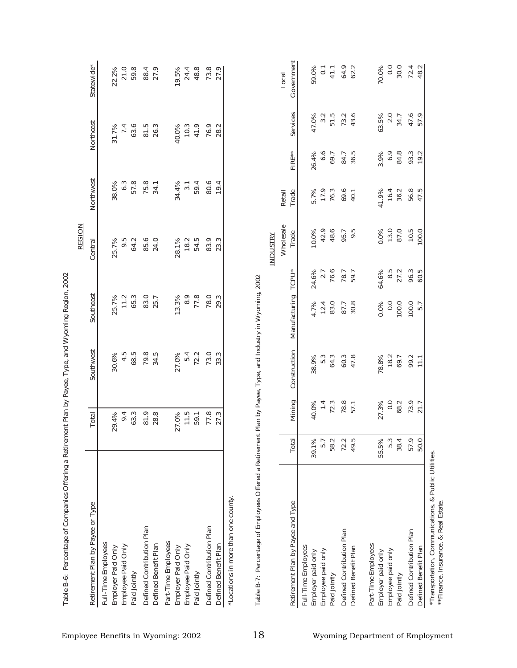|                                    |             |                |                  |                     |                 | <b>REGION</b>         |                      |              |                |                               |
|------------------------------------|-------------|----------------|------------------|---------------------|-----------------|-----------------------|----------------------|--------------|----------------|-------------------------------|
| Retirement Plan by Payee or Type   |             | Total          | Southwest        | Southeast           |                 | Central               | Northwest            |              | Northeast      | Statewide*                    |
| Full-Time Employees                |             |                |                  |                     |                 |                       |                      |              |                |                               |
| Employer Paid Only                 |             | 29.4%          | 30.6%            | 25.7%               |                 | 25.7%                 | 38.0%                |              | 31.7%          | 22.2%                         |
| Employee Paid Only                 |             | 9.4            | 4.5              | 11.2                |                 | 9.5                   | 6.3                  |              | 7.4            | 21.0                          |
| Paid Jointly                       |             | 63.3           | 68.5             | 65.3                |                 | 64.2                  | 57.8                 |              | 63.6           | 59.8                          |
| Defined Contribution Plan          |             | 81.9           | 79.8             | 83.0                |                 | 85.6                  | 75.8                 |              | 81.5           | 88.4                          |
| Defined Benefit Plan               |             | 28.8           | 34.5             | 25.7                |                 | 24.0                  | 34.1                 |              | 26.3           | 27.9                          |
| Part-Time Employees                |             |                |                  |                     |                 |                       |                      |              |                |                               |
| Employer Paid Only                 |             | 27.0%          | 27.0%            | 13.3%               |                 | 28.1%                 | 34.4%                |              | 40.0%          | 19.5%                         |
| Employee Paid Only                 |             | $11.5$<br>59.1 | $5.4$<br>72.2    | 8.9                 |                 | 18.2                  |                      |              |                | $24.4$<br>48.8                |
| Paid Jointly                       |             |                |                  | 77.8                |                 | 54.5                  | $3.1$<br>59.4        |              | $10.3$<br>41.9 |                               |
| Defined Contribution Plan          |             | 77.8           | 73.0             | 78.0                |                 | 83.9                  | 80.6                 |              | 76.9           |                               |
| Defined Benefit Plan               |             | 27.3           | 33.3             | 29.3                |                 | 23.3                  | 19.4                 |              | 28.2           | 73.8                          |
|                                    |             |                |                  |                     |                 | Wholesale<br>INDUSTRY | Retail               |              |                | Local                         |
| Retirement Plan by Payee and Type  | Total       | Mining         | Construction     | Manufacturing TCPU* |                 | Trade                 | Trade                | FIRE**       | Services       | Government                    |
| Full-Time Employees                | 39.1%       | 40.0%          | 38.9%            |                     |                 | 10.0%                 |                      | 26.4%        | 47.0%          | 59.0%                         |
| Employer paid only                 |             |                |                  | 4.7%                | 24.6%           |                       |                      |              |                |                               |
| Employee paid only<br>Paid jointly | 5.7<br>58.2 | $1.4$<br>72.3  | 5.3<br>64.3      | 12.4<br>83.0        | 2.7<br>76.6     | 42.9<br>48.6          | 5.7%<br>17.9<br>76.3 | 6.66         | 3.2<br>51.5    | $\overline{\text{o}}$<br>41.1 |
| Defined Contribution Plan          | 72.2        |                |                  |                     |                 | 95.7                  | 69.6                 | 84.7         |                |                               |
| Defined Benefit Plan               | 49.5        | 78.8<br>57.1   | 60.3<br>47.8     | 87.7<br>30.8        | 78.7<br>59.7    | 9.5                   | 40.1                 | 36.5         | $73.2$<br>43.6 | 64.9<br>62.2                  |
| Part-Time Employees                |             |                |                  |                     |                 |                       |                      |              |                |                               |
| Employer paid only                 | 55.5%       | 27.3%          | 78.8%            | 0.0%                | 64.6%           | 0.0%                  | 41.9%                | 3.9%         | 63.5%          | 70.0%                         |
| Employee paid only                 | 5.3         | $0.0$<br>68.2  | 18.2             | 0.0                 | $8.5$<br>$27.2$ | $13.0$                | $16.4$<br>$36.2$     | 6.9          | 2.0            | 0.0                           |
| Paid jointly                       | 38.4        |                | 69.7             | 100.0               |                 | 87.0                  |                      | 84.8         | 34.7           | 30.0                          |
| Defined Contribution Plan          | 57.9        | 73.9           | 99.2             | 100.0               | 96.3            | 10.5                  | 56.8<br>47.5         | 93.3<br>19.2 | 47.6           | 72.4<br>48.2                  |
| Defined Benefit Plan               | 50.0        | 21.7           | $\overline{111}$ | 5.7                 | 60.5            | 100.0                 |                      |              |                |                               |

|                                                            |            |                                      |                                       |                                                |                                      | NDUSTRY                                                  |                                       |                                      |                                         |                               |
|------------------------------------------------------------|------------|--------------------------------------|---------------------------------------|------------------------------------------------|--------------------------------------|----------------------------------------------------------|---------------------------------------|--------------------------------------|-----------------------------------------|-------------------------------|
|                                                            |            |                                      |                                       |                                                |                                      | Wholesale                                                |                                       |                                      |                                         | Local                         |
| Retirement Plan by Payee and Type                          | Total      | Mining                               | Construction                          | Manufacturing TCPU*                            |                                      | Trade                                                    | Retail<br>Trade                       | FIRE**                               | Services                                | Governmer                     |
| Full-Time Employees                                        |            |                                      |                                       |                                                |                                      |                                                          |                                       |                                      |                                         |                               |
| Employer paid only                                         | 39.1%      |                                      |                                       |                                                |                                      |                                                          |                                       |                                      |                                         | 59.0%                         |
| Employee paid only                                         | 5.7        |                                      |                                       |                                                |                                      |                                                          |                                       |                                      |                                         |                               |
| Paid jointly                                               | 58.2       | 10.0%<br>1.4<br>72.3<br>57.1<br>57.1 |                                       | $4.7%$<br>$12.4$<br>$83.0$<br>$87.7$<br>$80.8$ | 24.6%<br>2.7<br>76.6<br>78.7<br>59.7 | 10.0%<br>42.9<br>48.5<br>95.7<br>9.5                     | 5.7%<br>17.9<br>10.3<br>40.1          | 26.4%<br>6.6<br>69.7<br>84.7<br>36.5 | 17.0%<br>3.2<br>5 1.3<br>43<br>43<br>43 | $0.1$<br>41.1<br>64.9<br>62.2 |
| Defined Contribution Plan                                  | 72.2       |                                      |                                       |                                                |                                      |                                                          |                                       |                                      |                                         |                               |
| Defined Benefit Plan                                       | بما<br>49. |                                      |                                       |                                                |                                      |                                                          |                                       |                                      |                                         |                               |
| Part-Time Employees                                        |            |                                      |                                       |                                                |                                      |                                                          |                                       |                                      |                                         |                               |
| Employer paid only                                         | 55.5%      |                                      |                                       |                                                |                                      |                                                          |                                       |                                      |                                         |                               |
| Employee paid only                                         | S.<br>ഥ    |                                      |                                       |                                                |                                      |                                                          |                                       |                                      |                                         | 70.0%<br>0.0                  |
| Paid jointly                                               | 38.4       | 27.3%<br>0.0<br>68.2<br>73.9<br>21.7 | 78.8%<br>18.2<br>69.7<br>99.2<br>11.1 | 0.000<br>0.000<br>0.000<br>5.7                 | 64.6%<br>8.5<br>27.2<br>60.5         | $0.08$<br>$13.0$<br>$87.0$<br>$10.5$<br>$10.0$<br>$10.0$ | 41.9%<br>16.4<br>36.2<br>56.8<br>47.5 |                                      | 63.5%<br>2.0<br>34.7<br>57.9<br>57.9    | $30.0$<br>$72.4$<br>$48.2$    |
| Defined Contribution Plan                                  | 57.9       |                                      |                                       |                                                |                                      |                                                          |                                       |                                      |                                         |                               |
| Defined Benefit Plan                                       | 50.0       |                                      |                                       |                                                |                                      |                                                          |                                       |                                      |                                         |                               |
| $*$ Transportation. Communications. $\&$ Public Utilities. |            |                                      |                                       |                                                |                                      |                                                          |                                       |                                      |                                         |                               |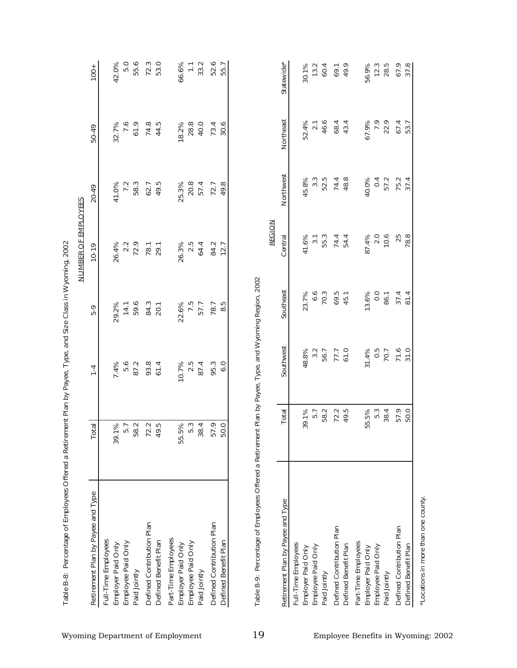| Retirement Plan by Payee and Type |                |                |                |                          |                  |                      |                       |
|-----------------------------------|----------------|----------------|----------------|--------------------------|------------------|----------------------|-----------------------|
|                                   | <b>Total</b>   | $1-4$          | $5 - 9$        | $10 - 19$                | 20-49            | 50-49                | $100 +$               |
| Full-Time Employees               |                |                |                |                          |                  |                      |                       |
| Employer Paid Only                | 39.1%          | $7.4\%$<br>5.6 | 29.2%<br>14.1  |                          | 41.0%<br>7.2     | 32.7%<br>7.6         | 42.0%                 |
| Employee Paid Only                |                |                |                |                          |                  |                      | 5.0                   |
| Paid Jointly                      | 8.2<br>ഥ       | 87.2           | 59.6           | 26.4%<br>2.2<br>72.9     | 58.3             | 61.9                 | 55.6                  |
| Defined Contribution Plan         |                |                |                | 78.1                     | 62.7             | 74.8                 |                       |
| Defined Benefit Plan              | $72.2$<br>49.5 | 93.8<br>61.4   | 84.3<br>20.1   |                          | 49.5             | 44.5                 | 72.3<br>53.0          |
| Part-Time Employees               |                |                |                |                          |                  |                      |                       |
| Employer Paid Only                | 55.5%          | 10.7%          | 22.6%          | 26.3%                    | 25.3%            | 18.2%                | 66.6%                 |
| Employee Paid Only                | 5.3            | 2.5            |                | 2.5                      | 20.8             | 28.8                 | $\overline{\Xi}$      |
| Paid Jointly                      | 38.4           | 87.4           | $7.5$<br>57.7  | 64.4                     | 57.4             | 40.0                 | 33.2                  |
| Defined Contribution Plan         | 57.9           | 95.3           | 78.7           | 84.2                     | 72.7             | 73.4                 | 52.6                  |
| Defined Benefit Plan              | 50.0           | 6.0            | 8.5            | 12.7                     | 49.8             | 30.6                 | 55.7                  |
| Retirement Plan by Payee and Type | Total          | Southwest      | Southeast      | <b>REGION</b><br>Central | Northwest        | Northeast            | Statewide*            |
| Full-Time Employees               |                |                |                |                          |                  |                      |                       |
| Employer Paid Only                | 39.1%          | 48.8%<br>3.2   | 23.7%          | 41.6%                    | 45.8%            | 52.4%                |                       |
| Employee Paid Only                | 5.7            |                | 6.6            |                          | $3.\overline{3}$ | $2.1\,$              |                       |
| Paid Jointly                      | 58.2           | 56.7           | 70.3           | $3.\overline{3}$<br>55.3 | 52.5             | 46.6                 | 30.1%<br>13.2<br>60.4 |
| Defined Contribution Plan         |                |                | $69.5$<br>45.1 |                          |                  | 68.4                 | 69.1<br>49.9          |
| Defined Benefit Plan              | 72.5           | 77.7<br>61.0   |                | 74.4<br>54.4             | 74.8<br>48.8     | 43.4                 |                       |
| Part-Time Employees               |                |                |                |                          |                  |                      |                       |
| Employer Paid Only                | 55.5%          | 31.4%          | 13.6%          | 87.4%                    | 40.0%            |                      |                       |
| Employee Paid Only                | 5.3            | 0.5            | 0.0            | 2.0                      | 0.4              |                      |                       |
| Paid Jointly                      | 38.4           | 70.7           | 86.1           | 10.6                     | 57.2             | 67.9%<br>7.9<br>22.9 | 56.9%<br>12.3<br>28.5 |
| Defined Contribution Plan         | 57.9           | 71.6           | 37.4           | 25                       | 75.2             | 67.4                 | 67.9                  |
| Defined Benefit Plan              | 50.0           | 31.0           | 81.4           | 78.8                     | 37.4             | 53.7                 | 37.8                  |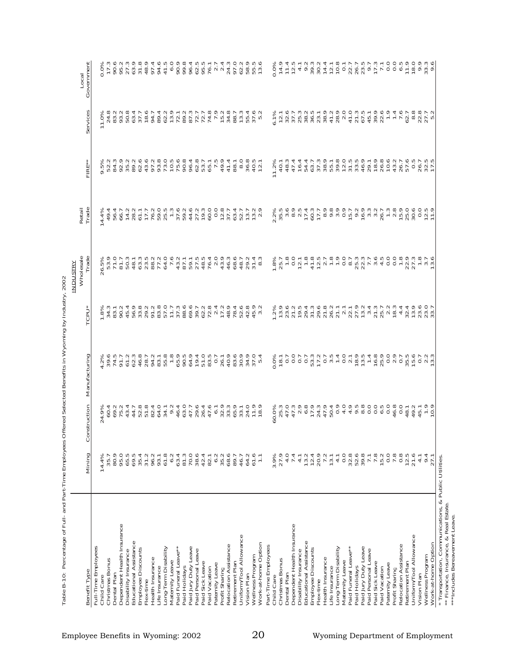|                                                |                                                                                                                                                                                                                                |                                                                                                                                                                                                                                                                                                                                                                                                                                                                                                                    |                                                                                            |                                                                                                                                                                                                                                  | <b>INDUSTRY</b>                                                                                                                                                                                                                                                                                                         |                                                                                                            |                                                                      |                                                                                                                                             |                                                                                        |
|------------------------------------------------|--------------------------------------------------------------------------------------------------------------------------------------------------------------------------------------------------------------------------------|--------------------------------------------------------------------------------------------------------------------------------------------------------------------------------------------------------------------------------------------------------------------------------------------------------------------------------------------------------------------------------------------------------------------------------------------------------------------------------------------------------------------|--------------------------------------------------------------------------------------------|----------------------------------------------------------------------------------------------------------------------------------------------------------------------------------------------------------------------------------|-------------------------------------------------------------------------------------------------------------------------------------------------------------------------------------------------------------------------------------------------------------------------------------------------------------------------|------------------------------------------------------------------------------------------------------------|----------------------------------------------------------------------|---------------------------------------------------------------------------------------------------------------------------------------------|----------------------------------------------------------------------------------------|
| Benefit Type                                   | Mining                                                                                                                                                                                                                         | nstruction<br>ိ                                                                                                                                                                                                                                                                                                                                                                                                                                                                                                    | Manufacturing                                                                              | *U40                                                                                                                                                                                                                             | Wholesale<br>Trade                                                                                                                                                                                                                                                                                                      | Trade<br>Retail                                                                                            | FIRE                                                                 | ervic<br>n                                                                                                                                  | Government<br>Local                                                                    |
| Full-Time Employees                            |                                                                                                                                                                                                                                |                                                                                                                                                                                                                                                                                                                                                                                                                                                                                                                    |                                                                                            |                                                                                                                                                                                                                                  |                                                                                                                                                                                                                                                                                                                         |                                                                                                            |                                                                      |                                                                                                                                             |                                                                                        |
| Child Care                                     | 14.4%                                                                                                                                                                                                                          |                                                                                                                                                                                                                                                                                                                                                                                                                                                                                                                    | 4 ω γρραμανο mp. ρορομης οι και<br>γραμική συναιωτή συνασιασία<br>% συνανονανο σύναστουνισ |                                                                                                                                                                                                                                  |                                                                                                                                                                                                                                                                                                                         | 4.4%<br>$\overline{5}$                                                                                     |                                                                      |                                                                                                                                             | ΟΙΘΦΝΟΝΑΦΟΑ ΦΟΦΟΟΥ ΝΟΘΠΡΙ<br>ΟΙΘΡΙΑ: ΦΙΑΙΘΟΦΟΝΤΟΝΑΙΝΑΙ<br>Χωσυώδασταποσφατημητιαωονοπο |
| Christmas Bonus                                | 35.7                                                                                                                                                                                                                           |                                                                                                                                                                                                                                                                                                                                                                                                                                                                                                                    |                                                                                            |                                                                                                                                                                                                                                  |                                                                                                                                                                                                                                                                                                                         |                                                                                                            |                                                                      |                                                                                                                                             |                                                                                        |
| Dental Plan                                    |                                                                                                                                                                                                                                |                                                                                                                                                                                                                                                                                                                                                                                                                                                                                                                    |                                                                                            |                                                                                                                                                                                                                                  |                                                                                                                                                                                                                                                                                                                         |                                                                                                            |                                                                      |                                                                                                                                             |                                                                                        |
| Dependent Health Insurance                     |                                                                                                                                                                                                                                |                                                                                                                                                                                                                                                                                                                                                                                                                                                                                                                    |                                                                                            |                                                                                                                                                                                                                                  |                                                                                                                                                                                                                                                                                                                         |                                                                                                            |                                                                      |                                                                                                                                             |                                                                                        |
| Educational Assistance<br>Disability Insurance |                                                                                                                                                                                                                                |                                                                                                                                                                                                                                                                                                                                                                                                                                                                                                                    |                                                                                            |                                                                                                                                                                                                                                  |                                                                                                                                                                                                                                                                                                                         |                                                                                                            |                                                                      |                                                                                                                                             |                                                                                        |
| Employee Discounts                             |                                                                                                                                                                                                                                |                                                                                                                                                                                                                                                                                                                                                                                                                                                                                                                    |                                                                                            |                                                                                                                                                                                                                                  |                                                                                                                                                                                                                                                                                                                         |                                                                                                            |                                                                      |                                                                                                                                             |                                                                                        |
| Flex-time                                      |                                                                                                                                                                                                                                |                                                                                                                                                                                                                                                                                                                                                                                                                                                                                                                    |                                                                                            |                                                                                                                                                                                                                                  |                                                                                                                                                                                                                                                                                                                         |                                                                                                            |                                                                      |                                                                                                                                             |                                                                                        |
| Health Insurance                               | $0.01, 0.01, 0.01, 0.01, 0.01, 0.01, 0.01, 0.01, 0.01, 0.01, 0.01, 0.01, 0.01, 0.01, 0.01, 0.01, 0.01, 0.01, 0.01, 0.01, 0.01, 0.01, 0.01, 0.01, 0.01, 0.01, 0.01, 0.01, 0.01, 0.01, 0.01, 0.01, 0.01, 0.01, 0.01, 0.01, 0.01$ |                                                                                                                                                                                                                                                                                                                                                                                                                                                                                                                    |                                                                                            |                                                                                                                                                                                                                                  |                                                                                                                                                                                                                                                                                                                         |                                                                                                            |                                                                      |                                                                                                                                             |                                                                                        |
| Life Insurance                                 |                                                                                                                                                                                                                                |                                                                                                                                                                                                                                                                                                                                                                                                                                                                                                                    |                                                                                            |                                                                                                                                                                                                                                  |                                                                                                                                                                                                                                                                                                                         |                                                                                                            |                                                                      |                                                                                                                                             |                                                                                        |
| Long-Term Disability                           |                                                                                                                                                                                                                                |                                                                                                                                                                                                                                                                                                                                                                                                                                                                                                                    |                                                                                            |                                                                                                                                                                                                                                  |                                                                                                                                                                                                                                                                                                                         |                                                                                                            |                                                                      |                                                                                                                                             |                                                                                        |
| Maternity Leave                                |                                                                                                                                                                                                                                |                                                                                                                                                                                                                                                                                                                                                                                                                                                                                                                    |                                                                                            |                                                                                                                                                                                                                                  |                                                                                                                                                                                                                                                                                                                         |                                                                                                            |                                                                      |                                                                                                                                             |                                                                                        |
| Paid Funeral Leave**                           |                                                                                                                                                                                                                                |                                                                                                                                                                                                                                                                                                                                                                                                                                                                                                                    |                                                                                            |                                                                                                                                                                                                                                  |                                                                                                                                                                                                                                                                                                                         |                                                                                                            |                                                                      |                                                                                                                                             |                                                                                        |
| Paid Holidays                                  | 63.4<br>81.3<br>70.0                                                                                                                                                                                                           |                                                                                                                                                                                                                                                                                                                                                                                                                                                                                                                    |                                                                                            |                                                                                                                                                                                                                                  |                                                                                                                                                                                                                                                                                                                         |                                                                                                            |                                                                      |                                                                                                                                             |                                                                                        |
| Paid Jury Duty Leave                           |                                                                                                                                                                                                                                |                                                                                                                                                                                                                                                                                                                                                                                                                                                                                                                    |                                                                                            |                                                                                                                                                                                                                                  |                                                                                                                                                                                                                                                                                                                         |                                                                                                            |                                                                      |                                                                                                                                             |                                                                                        |
| Paid Personal Leave                            | 38.6                                                                                                                                                                                                                           |                                                                                                                                                                                                                                                                                                                                                                                                                                                                                                                    |                                                                                            |                                                                                                                                                                                                                                  |                                                                                                                                                                                                                                                                                                                         |                                                                                                            |                                                                      |                                                                                                                                             |                                                                                        |
| Paid Sick Leave                                |                                                                                                                                                                                                                                |                                                                                                                                                                                                                                                                                                                                                                                                                                                                                                                    |                                                                                            |                                                                                                                                                                                                                                  |                                                                                                                                                                                                                                                                                                                         |                                                                                                            |                                                                      |                                                                                                                                             |                                                                                        |
| Paid Vacation                                  | $47 - 29$<br>$47 - 29$<br>$48 - 29$<br>$59$<br>$59$                                                                                                                                                                            |                                                                                                                                                                                                                                                                                                                                                                                                                                                                                                                    |                                                                                            |                                                                                                                                                                                                                                  |                                                                                                                                                                                                                                                                                                                         |                                                                                                            |                                                                      |                                                                                                                                             |                                                                                        |
| Paternity Leave                                |                                                                                                                                                                                                                                |                                                                                                                                                                                                                                                                                                                                                                                                                                                                                                                    |                                                                                            |                                                                                                                                                                                                                                  |                                                                                                                                                                                                                                                                                                                         |                                                                                                            |                                                                      |                                                                                                                                             |                                                                                        |
| Profit Sharing                                 |                                                                                                                                                                                                                                |                                                                                                                                                                                                                                                                                                                                                                                                                                                                                                                    |                                                                                            |                                                                                                                                                                                                                                  |                                                                                                                                                                                                                                                                                                                         |                                                                                                            |                                                                      |                                                                                                                                             |                                                                                        |
| Relocation Assistance<br>Retirement Plan       | 89.7                                                                                                                                                                                                                           |                                                                                                                                                                                                                                                                                                                                                                                                                                                                                                                    |                                                                                            |                                                                                                                                                                                                                                  | 68.6                                                                                                                                                                                                                                                                                                                    |                                                                                                            | $41.4$<br>88.1                                                       |                                                                                                                                             |                                                                                        |
| Uniform/Tool Allowance                         | 46.7                                                                                                                                                                                                                           |                                                                                                                                                                                                                                                                                                                                                                                                                                                                                                                    |                                                                                            |                                                                                                                                                                                                                                  |                                                                                                                                                                                                                                                                                                                         |                                                                                                            |                                                                      |                                                                                                                                             |                                                                                        |
| Vision Plan                                    | 64.2                                                                                                                                                                                                                           |                                                                                                                                                                                                                                                                                                                                                                                                                                                                                                                    |                                                                                            |                                                                                                                                                                                                                                  | $48.7$<br>$79.74$<br>$89.74$<br>$89.7$                                                                                                                                                                                                                                                                                  | 4 5 9 4 8 4 5 5 6 8 7 - 9 9 4 7 5 9 0 5 7 8 9 5 7 8 7<br>4 7 9 4 8 7 5 7 8 7 8 7 7 8 9 0 5 7 9 9 7 8 7 8 7 |                                                                      |                                                                                                                                             |                                                                                        |
| Wellness Program                               |                                                                                                                                                                                                                                |                                                                                                                                                                                                                                                                                                                                                                                                                                                                                                                    |                                                                                            |                                                                                                                                                                                                                                  |                                                                                                                                                                                                                                                                                                                         |                                                                                                            |                                                                      |                                                                                                                                             |                                                                                        |
| Work-at-home Option                            | 61.6                                                                                                                                                                                                                           |                                                                                                                                                                                                                                                                                                                                                                                                                                                                                                                    |                                                                                            |                                                                                                                                                                                                                                  |                                                                                                                                                                                                                                                                                                                         |                                                                                                            |                                                                      | 「<br>О 4 8 8 8 9 9 9 1 8 4 9 7 8 7 9 9 7 7 1 7 1 7 8 9 9 9 9 9 9 9<br>^ 8 8 0 1 1 8 4 1 - 6 1 4 1 6 - 1 1 0 1 1 2 9 0 1 8 1 8 1 8 1 8 1 9 1 |                                                                                        |
| Part-Time Employees                            |                                                                                                                                                                                                                                |                                                                                                                                                                                                                                                                                                                                                                                                                                                                                                                    |                                                                                            |                                                                                                                                                                                                                                  |                                                                                                                                                                                                                                                                                                                         |                                                                                                            |                                                                      |                                                                                                                                             |                                                                                        |
| Child Care                                     |                                                                                                                                                                                                                                |                                                                                                                                                                                                                                                                                                                                                                                                                                                                                                                    |                                                                                            |                                                                                                                                                                                                                                  |                                                                                                                                                                                                                                                                                                                         |                                                                                                            | 1.2%                                                                 |                                                                                                                                             |                                                                                        |
| Christmas Bonus                                | 3.9%<br>27.9                                                                                                                                                                                                                   |                                                                                                                                                                                                                                                                                                                                                                                                                                                                                                                    |                                                                                            |                                                                                                                                                                                                                                  |                                                                                                                                                                                                                                                                                                                         |                                                                                                            | 40.1                                                                 | $6.1\%$<br>12.1                                                                                                                             |                                                                                        |
| Dental Plan                                    | 4.0                                                                                                                                                                                                                            |                                                                                                                                                                                                                                                                                                                                                                                                                                                                                                                    |                                                                                            |                                                                                                                                                                                                                                  |                                                                                                                                                                                                                                                                                                                         |                                                                                                            |                                                                      |                                                                                                                                             |                                                                                        |
| Dependent Health Insurance                     |                                                                                                                                                                                                                                |                                                                                                                                                                                                                                                                                                                                                                                                                                                                                                                    |                                                                                            |                                                                                                                                                                                                                                  |                                                                                                                                                                                                                                                                                                                         |                                                                                                            |                                                                      |                                                                                                                                             |                                                                                        |
| Disability Insurance                           |                                                                                                                                                                                                                                |                                                                                                                                                                                                                                                                                                                                                                                                                                                                                                                    |                                                                                            |                                                                                                                                                                                                                                  |                                                                                                                                                                                                                                                                                                                         |                                                                                                            |                                                                      |                                                                                                                                             |                                                                                        |
| Educational Assistance                         |                                                                                                                                                                                                                                |                                                                                                                                                                                                                                                                                                                                                                                                                                                                                                                    |                                                                                            |                                                                                                                                                                                                                                  |                                                                                                                                                                                                                                                                                                                         |                                                                                                            |                                                                      |                                                                                                                                             |                                                                                        |
| Employee Discounts                             |                                                                                                                                                                                                                                |                                                                                                                                                                                                                                                                                                                                                                                                                                                                                                                    |                                                                                            |                                                                                                                                                                                                                                  |                                                                                                                                                                                                                                                                                                                         |                                                                                                            |                                                                      |                                                                                                                                             |                                                                                        |
| Health Insurance<br>Flex-time                  |                                                                                                                                                                                                                                |                                                                                                                                                                                                                                                                                                                                                                                                                                                                                                                    |                                                                                            |                                                                                                                                                                                                                                  |                                                                                                                                                                                                                                                                                                                         |                                                                                                            |                                                                      |                                                                                                                                             |                                                                                        |
| Life Insurance                                 |                                                                                                                                                                                                                                |                                                                                                                                                                                                                                                                                                                                                                                                                                                                                                                    |                                                                                            |                                                                                                                                                                                                                                  |                                                                                                                                                                                                                                                                                                                         |                                                                                                            |                                                                      |                                                                                                                                             |                                                                                        |
| Long-Term Disability                           |                                                                                                                                                                                                                                |                                                                                                                                                                                                                                                                                                                                                                                                                                                                                                                    |                                                                                            |                                                                                                                                                                                                                                  |                                                                                                                                                                                                                                                                                                                         |                                                                                                            |                                                                      |                                                                                                                                             |                                                                                        |
| Maternity Leave                                |                                                                                                                                                                                                                                |                                                                                                                                                                                                                                                                                                                                                                                                                                                                                                                    |                                                                                            |                                                                                                                                                                                                                                  |                                                                                                                                                                                                                                                                                                                         |                                                                                                            |                                                                      |                                                                                                                                             |                                                                                        |
| Paid Funeral Leave**                           |                                                                                                                                                                                                                                |                                                                                                                                                                                                                                                                                                                                                                                                                                                                                                                    |                                                                                            |                                                                                                                                                                                                                                  |                                                                                                                                                                                                                                                                                                                         |                                                                                                            |                                                                      |                                                                                                                                             |                                                                                        |
| Paid Holidays                                  |                                                                                                                                                                                                                                |                                                                                                                                                                                                                                                                                                                                                                                                                                                                                                                    |                                                                                            |                                                                                                                                                                                                                                  |                                                                                                                                                                                                                                                                                                                         |                                                                                                            |                                                                      |                                                                                                                                             |                                                                                        |
| Paid Jury Duty Leave                           |                                                                                                                                                                                                                                |                                                                                                                                                                                                                                                                                                                                                                                                                                                                                                                    |                                                                                            |                                                                                                                                                                                                                                  |                                                                                                                                                                                                                                                                                                                         |                                                                                                            |                                                                      |                                                                                                                                             |                                                                                        |
| Paid Personal Leave<br>Paid Sick Leave         |                                                                                                                                                                                                                                |                                                                                                                                                                                                                                                                                                                                                                                                                                                                                                                    |                                                                                            |                                                                                                                                                                                                                                  |                                                                                                                                                                                                                                                                                                                         |                                                                                                            |                                                                      |                                                                                                                                             |                                                                                        |
| Paid Vacation                                  | na<br>Sarado agus<br>Parado agus                                                                                                                                                                                               | $\begin{array}{l} { \mathcal{Q}} \\ { \mathcal{Q}} \\ { \mathcal{Q}} \\ { \mathcal{Q}} \\ { \mathcal{Q}} \\ { \mathcal{Q}} \\ { \mathcal{Q}} \\ { \mathcal{Q}} \\ { \mathcal{Q}} \\ { \mathcal{Q}} \\ { \mathcal{Q}} \\ { \mathcal{Q}} \\ { \mathcal{Q}} \\ { \mathcal{Q}} \\ { \mathcal{Q}} \\ { \mathcal{Q}} \\ { \mathcal{Q}} \\ { \mathcal{Q}} \\ { \mathcal{Q}} \\ { \mathcal{Q}} \\ { \mathcal{Q}} \\ { \mathcal{Q}} \\ { \mathcal{Q}} \\ { \mathcal{Q}} \\ { \mathcal{Q}} \\ { \mathcal{Q}} \\ { \mathcal{$ |                                                                                            | co d'articidad de l'espagne de l'articidad de l'articles de l'articles de l'articles de l'articles de l'articl<br>Se d'article de l'articles de l'articles de l'articles de l'articles de l'articles de l'articles de l'articles | $\overline{a}$ if $L_0$ is $\overline{a}$ in the set of $\overline{a}$ is $\overline{a}$ in the set of $\overline{a}$ is $\overline{a}$ in the set of $\overline{a}$ is $\overline{a}$ is $\overline{a}$ is $\overline{a}$ if $\overline{a}$ is $\overline{a}$ is $\overline{a}$ if $\overline{a}$ is $\overline{a}$ is |                                                                                                            | 44トラらると話をするとはないからものはらているいかはないと思うというのからかりののからかいから! しょうこうしょう こうしょうしょうち |                                                                                                                                             |                                                                                        |
| Paternity Leave                                |                                                                                                                                                                                                                                |                                                                                                                                                                                                                                                                                                                                                                                                                                                                                                                    |                                                                                            |                                                                                                                                                                                                                                  |                                                                                                                                                                                                                                                                                                                         |                                                                                                            |                                                                      |                                                                                                                                             |                                                                                        |
| Profit Sharing                                 |                                                                                                                                                                                                                                |                                                                                                                                                                                                                                                                                                                                                                                                                                                                                                                    |                                                                                            |                                                                                                                                                                                                                                  |                                                                                                                                                                                                                                                                                                                         |                                                                                                            |                                                                      |                                                                                                                                             |                                                                                        |
| Relocation Assistance                          |                                                                                                                                                                                                                                |                                                                                                                                                                                                                                                                                                                                                                                                                                                                                                                    |                                                                                            |                                                                                                                                                                                                                                  |                                                                                                                                                                                                                                                                                                                         |                                                                                                            |                                                                      |                                                                                                                                             |                                                                                        |
| Retirement Plan                                |                                                                                                                                                                                                                                |                                                                                                                                                                                                                                                                                                                                                                                                                                                                                                                    |                                                                                            |                                                                                                                                                                                                                                  |                                                                                                                                                                                                                                                                                                                         |                                                                                                            | $\dot{\phi}$ in in in in in $\dot{\phi}$                             |                                                                                                                                             |                                                                                        |
| Uniform/Tool Allowance                         | 21.6                                                                                                                                                                                                                           |                                                                                                                                                                                                                                                                                                                                                                                                                                                                                                                    |                                                                                            |                                                                                                                                                                                                                                  |                                                                                                                                                                                                                                                                                                                         |                                                                                                            | $\circ$                                                              |                                                                                                                                             |                                                                                        |
| Vision Plan                                    | 4.7                                                                                                                                                                                                                            |                                                                                                                                                                                                                                                                                                                                                                                                                                                                                                                    |                                                                                            |                                                                                                                                                                                                                                  |                                                                                                                                                                                                                                                                                                                         |                                                                                                            |                                                                      |                                                                                                                                             |                                                                                        |
| Work-at-home Option<br>Wellness Program        | 9.4<br>27.1                                                                                                                                                                                                                    |                                                                                                                                                                                                                                                                                                                                                                                                                                                                                                                    |                                                                                            |                                                                                                                                                                                                                                  |                                                                                                                                                                                                                                                                                                                         |                                                                                                            | $\frac{26}{28}$ $\frac{2}{1}$                                        |                                                                                                                                             | OLLL<br>O4LU40 SO4U00U1900LL000LB0 So<br>% o4uLUwu4 LBLLLDUL00LO000000                 |
|                                                |                                                                                                                                                                                                                                |                                                                                                                                                                                                                                                                                                                                                                                                                                                                                                                    |                                                                                            |                                                                                                                                                                                                                                  |                                                                                                                                                                                                                                                                                                                         |                                                                                                            |                                                                      |                                                                                                                                             |                                                                                        |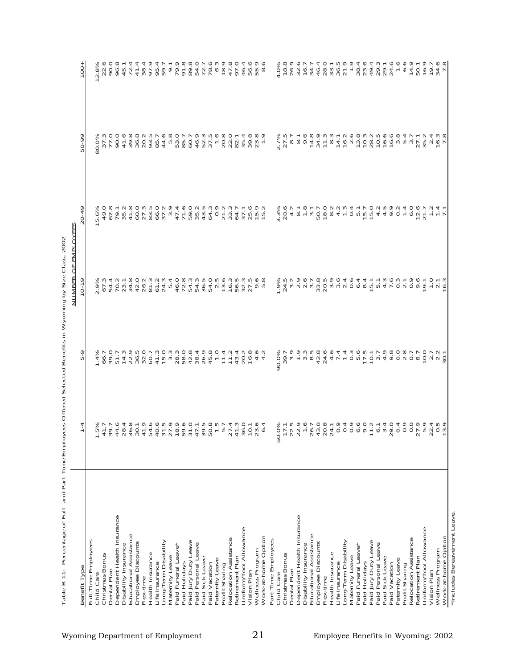| Benefit Type                            | 4<br>᠇                                                                                                                                  | ᡡ<br>ю                                                                                                                                                                                                                                                                                                              | <b>NUMBER OF EMPLOYEES</b><br>$-01$                             | o<br>4<br>ó                                                                                                                                                                                                             | 50-99                                                | 100                                   |
|-----------------------------------------|-----------------------------------------------------------------------------------------------------------------------------------------|---------------------------------------------------------------------------------------------------------------------------------------------------------------------------------------------------------------------------------------------------------------------------------------------------------------------|-----------------------------------------------------------------|-------------------------------------------------------------------------------------------------------------------------------------------------------------------------------------------------------------------------|------------------------------------------------------|---------------------------------------|
| Full-Time Employees                     |                                                                                                                                         |                                                                                                                                                                                                                                                                                                                     |                                                                 |                                                                                                                                                                                                                         |                                                      |                                       |
| Child Care                              |                                                                                                                                         | $\frac{1.4\%}{66.7}$                                                                                                                                                                                                                                                                                                | 2.9%<br>67.3                                                    | 5.6%                                                                                                                                                                                                                    | 80.0%                                                | 2.8%                                  |
| Christmas Bonus                         |                                                                                                                                         |                                                                                                                                                                                                                                                                                                                     |                                                                 | 49.0                                                                                                                                                                                                                    | $\frac{37.3}{77.0}$                                  | 22.6                                  |
| Dental Plan                             |                                                                                                                                         |                                                                                                                                                                                                                                                                                                                     | 4<br>54.                                                        | 67.8                                                                                                                                                                                                                    |                                                      | 90.0                                  |
| Dependent Health Insurance              |                                                                                                                                         |                                                                                                                                                                                                                                                                                                                     |                                                                 | 79.1                                                                                                                                                                                                                    |                                                      | 96.8                                  |
| Disability Insurance                    |                                                                                                                                         |                                                                                                                                                                                                                                                                                                                     |                                                                 | $35.2$<br>$41.8$<br>$60.0$                                                                                                                                                                                              |                                                      | 45.1                                  |
| Educational Assistance                  |                                                                                                                                         |                                                                                                                                                                                                                                                                                                                     |                                                                 |                                                                                                                                                                                                                         |                                                      | $72.4$<br>41.4                        |
| Employee Discounts<br>Flex-time         |                                                                                                                                         |                                                                                                                                                                                                                                                                                                                     |                                                                 |                                                                                                                                                                                                                         |                                                      | 38.4                                  |
| Health Insurance                        |                                                                                                                                         |                                                                                                                                                                                                                                                                                                                     |                                                                 |                                                                                                                                                                                                                         |                                                      | 97.9                                  |
| Life Insurance                          |                                                                                                                                         | $3.544889945468888887548888$                                                                                                                                                                                                                                                                                        | アクタルクロウク 4 アララショー 1<br>つと4 グラーム 5 タクムムクムクス<br>ウト 8 ウンシンシュウのこうこう | $27.5002$<br>$28.502$<br>$25.502$                                                                                                                                                                                       | 0 9 8 8 9 9 10 1<br>0 4 9 9 9 9 9 9<br>0 4 9 9 9 9 8 | 95.4                                  |
| Long-Term Disability                    |                                                                                                                                         |                                                                                                                                                                                                                                                                                                                     |                                                                 |                                                                                                                                                                                                                         |                                                      | 59.7                                  |
| Maternity Leave                         |                                                                                                                                         |                                                                                                                                                                                                                                                                                                                     |                                                                 |                                                                                                                                                                                                                         |                                                      | $\overline{9}$ .                      |
| Paid Funeral Leave*                     |                                                                                                                                         |                                                                                                                                                                                                                                                                                                                     |                                                                 | 4 L D W 4 Q<br>W 1 L O W 4 Q<br>W 1 C U W 4 Q                                                                                                                                                                           | $44.6$<br>53.0<br>53.0                               | 79.9                                  |
| Paid Holidays                           |                                                                                                                                         |                                                                                                                                                                                                                                                                                                                     |                                                                 |                                                                                                                                                                                                                         | 85.7                                                 | 91.8                                  |
| Paid Jury Duty Leave                    |                                                                                                                                         | 42.8                                                                                                                                                                                                                                                                                                                |                                                                 |                                                                                                                                                                                                                         | 60.7                                                 | 89.8                                  |
| Paid Personal Leave                     |                                                                                                                                         | $\begin{array}{c} 3000000 \\ 0000000 \\ -110000 \\ -110000 \\ \end{array}$                                                                                                                                                                                                                                          |                                                                 |                                                                                                                                                                                                                         | 46.9<br>52.3<br>37.5                                 | 54.0<br>72.7                          |
| Paid Sick Leave                         |                                                                                                                                         |                                                                                                                                                                                                                                                                                                                     |                                                                 |                                                                                                                                                                                                                         |                                                      |                                       |
| Paid Vacation                           |                                                                                                                                         |                                                                                                                                                                                                                                                                                                                     |                                                                 |                                                                                                                                                                                                                         |                                                      | 78.6                                  |
| Paternity Leave                         |                                                                                                                                         |                                                                                                                                                                                                                                                                                                                     |                                                                 | 0.9                                                                                                                                                                                                                     |                                                      | 6.3                                   |
| Profit Sharing                          |                                                                                                                                         |                                                                                                                                                                                                                                                                                                                     |                                                                 | $21.2$<br>$33.3$                                                                                                                                                                                                        |                                                      |                                       |
| Relocation Assistance                   |                                                                                                                                         |                                                                                                                                                                                                                                                                                                                     | 16.3                                                            |                                                                                                                                                                                                                         | $-880$<br>$-800$<br>$-800$<br>$-1$<br>$-80$          | $78.9$<br>$47.8$<br>97.0              |
| Retirement Plan                         |                                                                                                                                         | $43.4$<br>20.2                                                                                                                                                                                                                                                                                                      | Ю<br>56.                                                        | 64.7                                                                                                                                                                                                                    |                                                      |                                       |
| Uniform/Tool Allowance                  |                                                                                                                                         |                                                                                                                                                                                                                                                                                                                     | 32.3<br>ம                                                       | 37.1                                                                                                                                                                                                                    | 35.4                                                 | $46.4$<br>56.9<br>55.9                |
| Wellness Program<br>Vision Plan         |                                                                                                                                         | 16.8                                                                                                                                                                                                                                                                                                                | 27.                                                             |                                                                                                                                                                                                                         |                                                      |                                       |
| Work-at-home Option                     | Γά ω ά α ώ α ύ ά συνα πρώτη α πράτης τους α<br>πρώτησα συ ά τα συνα συ τρους τους τους α<br>δυνα ά α το ό ο πο ο ό ο τ π α πνά ω ο το ά | $4.0$<br>$4.2$                                                                                                                                                                                                                                                                                                      | စ ထ<br>o ro                                                     | $25.0$<br>$75.2$<br>$15.2$                                                                                                                                                                                              | $39.8$<br>$23.9$<br>$1.9$                            | $\infty$                              |
| Part-Time Employees                     |                                                                                                                                         |                                                                                                                                                                                                                                                                                                                     |                                                                 |                                                                                                                                                                                                                         |                                                      |                                       |
| Child Care                              | 50                                                                                                                                      | 90.0%                                                                                                                                                                                                                                                                                                               |                                                                 |                                                                                                                                                                                                                         |                                                      |                                       |
| Christmas Bonus                         |                                                                                                                                         | 39.7                                                                                                                                                                                                                                                                                                                | $\frac{1.9\%}{24.5}$                                            | 3.3%<br>20.6                                                                                                                                                                                                            |                                                      | $4.0\%$<br>18.8<br>26.9<br>32.6       |
| Dental Plan                             |                                                                                                                                         | $\frac{6}{3}$                                                                                                                                                                                                                                                                                                       |                                                                 |                                                                                                                                                                                                                         |                                                      |                                       |
| Dependent Health Insurance              |                                                                                                                                         |                                                                                                                                                                                                                                                                                                                     |                                                                 |                                                                                                                                                                                                                         |                                                      |                                       |
| Disability Insurance                    |                                                                                                                                         |                                                                                                                                                                                                                                                                                                                     |                                                                 | $40 - 8$<br>$40 - 8$                                                                                                                                                                                                    |                                                      | $16.7$<br>34.7                        |
| Educational Assistance                  |                                                                                                                                         |                                                                                                                                                                                                                                                                                                                     |                                                                 |                                                                                                                                                                                                                         |                                                      |                                       |
| Employee Discounts                      | $0.77777887878000$                                                                                                                      |                                                                                                                                                                                                                                                                                                                     |                                                                 |                                                                                                                                                                                                                         |                                                      |                                       |
| Health Insurance<br>Flex-time           |                                                                                                                                         | 4.6                                                                                                                                                                                                                                                                                                                 |                                                                 |                                                                                                                                                                                                                         |                                                      |                                       |
| Life Insurance                          |                                                                                                                                         |                                                                                                                                                                                                                                                                                                                     |                                                                 |                                                                                                                                                                                                                         |                                                      |                                       |
| Long-Term Disability                    |                                                                                                                                         | $V = 0$ 10<br>$4 - 4$ 10<br>$9$                                                                                                                                                                                                                                                                                     |                                                                 |                                                                                                                                                                                                                         |                                                      |                                       |
| Maternity Leave                         | $\circ$<br>$\circ$                                                                                                                      |                                                                                                                                                                                                                                                                                                                     |                                                                 |                                                                                                                                                                                                                         |                                                      | $\ddot{ }$ .                          |
| Paid Funeral Leave*                     |                                                                                                                                         |                                                                                                                                                                                                                                                                                                                     |                                                                 |                                                                                                                                                                                                                         |                                                      | $38.4$<br>$23.6$                      |
| Paid Holidays                           |                                                                                                                                         | $17.5$<br>10.1                                                                                                                                                                                                                                                                                                      |                                                                 |                                                                                                                                                                                                                         |                                                      |                                       |
| Paid Jury Duty Leave                    |                                                                                                                                         |                                                                                                                                                                                                                                                                                                                     |                                                                 |                                                                                                                                                                                                                         |                                                      | 49.4                                  |
| Paid Personal Leave<br>Paid Sick Leave  |                                                                                                                                         |                                                                                                                                                                                                                                                                                                                     |                                                                 |                                                                                                                                                                                                                         |                                                      |                                       |
| Paid Vacation                           | $\begin{array}{c} \phi\circ\phi\vdash\dot{\neg}\phi\circ\dot{\neg}\phi\circ\dot{\lor}\phi \end{array}$<br>$60 - 600 - 600 = 600$        |                                                                                                                                                                                                                                                                                                                     |                                                                 | $D \over 2$ $D \over 2$ $D \over 2$ $D \over 2$ $D \over 2$ $D \over 2$ $D \over 2$ $D \over 2$ $D \over 2$ $D \over 2$ $D \over 2$ $D \over 2$ $D \over 2$ $D \over 2$ $D \over 2$ $D \over 2$ $D \over 2$ $D \over 2$ | $16.6$<br>$16.8$<br>$3.8$                            | $29.70000$<br>$29.70000$<br>$70.7000$ |
| Paternity Leave                         |                                                                                                                                         |                                                                                                                                                                                                                                                                                                                     |                                                                 | $0.\overline{2}$                                                                                                                                                                                                        |                                                      |                                       |
| Profit Sharing                          |                                                                                                                                         |                                                                                                                                                                                                                                                                                                                     |                                                                 | 1.4                                                                                                                                                                                                                     | 5.4                                                  |                                       |
| Relocation Assistance                   |                                                                                                                                         |                                                                                                                                                                                                                                                                                                                     |                                                                 | 6.0                                                                                                                                                                                                                     | $\overline{3}$ . 7                                   |                                       |
| Retirement Plan                         |                                                                                                                                         | $7.7$<br>$7.0$<br>$7.0$                                                                                                                                                                                                                                                                                             |                                                                 | 12.6                                                                                                                                                                                                                    | 27.1                                                 | 50.                                   |
| Uniform/Tool Allowance                  |                                                                                                                                         |                                                                                                                                                                                                                                                                                                                     | $0.967070$<br>$0.967070$<br>$0.3$                               | 21.7                                                                                                                                                                                                                    | $35.2$<br>$2.4$                                      | 16.9                                  |
| Vision Plan                             |                                                                                                                                         |                                                                                                                                                                                                                                                                                                                     |                                                                 | $\begin{array}{c}\n 1 \\  \hline\n 1 \\  \hline\n 2 \\  \hline\n 3 \\  \hline\n 4 \\  \hline\n 1\n \end{array}$                                                                                                         |                                                      | 19.7                                  |
| Work-at-home Option<br>Wellness Program | 4 IO Q<br>$\circ$ $\circ$                                                                                                               | $\frac{1}{2}$ $\frac{1}{2}$ $\frac{1}{2}$ $\frac{1}{2}$ $\frac{1}{2}$ $\frac{1}{2}$ $\frac{1}{2}$ $\frac{1}{2}$ $\frac{1}{2}$ $\frac{1}{2}$ $\frac{1}{2}$ $\frac{1}{2}$ $\frac{1}{2}$ $\frac{1}{2}$ $\frac{1}{2}$ $\frac{1}{2}$ $\frac{1}{2}$ $\frac{1}{2}$ $\frac{1}{2}$ $\frac{1}{2}$ $\frac{1}{2}$ $\frac{1}{2}$ |                                                                 |                                                                                                                                                                                                                         | က ထ<br>$\frac{1}{2}$                                 | $34.6$<br>7.8                         |
|                                         |                                                                                                                                         |                                                                                                                                                                                                                                                                                                                     |                                                                 |                                                                                                                                                                                                                         |                                                      |                                       |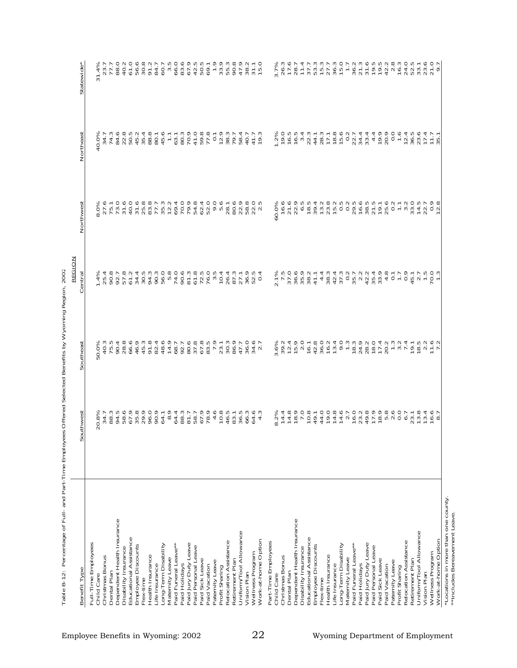| Benefit Type                                       | Southwest                                                                                                                            | Southeast                                                                                  | Central                                                                                                                                                                                                               | Northwest                                                              | Northeast                                                                                                                                                                                                                                                                                                                    | Statewide                                                                                                                                                                                                                                                                            |
|----------------------------------------------------|--------------------------------------------------------------------------------------------------------------------------------------|--------------------------------------------------------------------------------------------|-----------------------------------------------------------------------------------------------------------------------------------------------------------------------------------------------------------------------|------------------------------------------------------------------------|------------------------------------------------------------------------------------------------------------------------------------------------------------------------------------------------------------------------------------------------------------------------------------------------------------------------------|--------------------------------------------------------------------------------------------------------------------------------------------------------------------------------------------------------------------------------------------------------------------------------------|
| Full-Time Employees                                |                                                                                                                                      |                                                                                            |                                                                                                                                                                                                                       |                                                                        |                                                                                                                                                                                                                                                                                                                              |                                                                                                                                                                                                                                                                                      |
| Child Care                                         | Ο ω αρπρωνορο ο ρααποι Ι Ααωρο<br>α 4 α 4 αι πο 6 6 4 α 4 α 4 α - αι α 4 0 6 4 α<br>διώ που αρδοιο το 4 ω νιο 6 6 α π - πω<br>$\sim$ | ro<br>Carono 440 04 - 00<br>Sanda Carono 40 0 - 00<br>Sanda Cowo 40 0 - 1                  |                                                                                                                                                                                                                       |                                                                        | d<br>o 4 4 4 7 0 7 7 8 7<br>O 4 4 4 7 0 7 7 8 7<br>S 6 7 7 8 7 7 8 7 7 8                                                                                                                                                                                                                                                     |                                                                                                                                                                                                                                                                                      |
| Christmas Bonus                                    |                                                                                                                                      |                                                                                            |                                                                                                                                                                                                                       |                                                                        |                                                                                                                                                                                                                                                                                                                              |                                                                                                                                                                                                                                                                                      |
| Dental Plan                                        |                                                                                                                                      |                                                                                            |                                                                                                                                                                                                                       |                                                                        |                                                                                                                                                                                                                                                                                                                              |                                                                                                                                                                                                                                                                                      |
| Dependent Health Insurance<br>Disability Insurance |                                                                                                                                      |                                                                                            |                                                                                                                                                                                                                       |                                                                        |                                                                                                                                                                                                                                                                                                                              |                                                                                                                                                                                                                                                                                      |
| Educational Assistance                             |                                                                                                                                      |                                                                                            |                                                                                                                                                                                                                       |                                                                        |                                                                                                                                                                                                                                                                                                                              |                                                                                                                                                                                                                                                                                      |
| Employee Discounts                                 |                                                                                                                                      |                                                                                            |                                                                                                                                                                                                                       |                                                                        |                                                                                                                                                                                                                                                                                                                              |                                                                                                                                                                                                                                                                                      |
| Flex-time                                          |                                                                                                                                      |                                                                                            |                                                                                                                                                                                                                       |                                                                        |                                                                                                                                                                                                                                                                                                                              |                                                                                                                                                                                                                                                                                      |
| Health Insurance                                   |                                                                                                                                      |                                                                                            |                                                                                                                                                                                                                       |                                                                        |                                                                                                                                                                                                                                                                                                                              |                                                                                                                                                                                                                                                                                      |
| Life Insurance                                     |                                                                                                                                      |                                                                                            |                                                                                                                                                                                                                       |                                                                        | 80.1                                                                                                                                                                                                                                                                                                                         |                                                                                                                                                                                                                                                                                      |
| Long-Term Disability                               |                                                                                                                                      |                                                                                            |                                                                                                                                                                                                                       |                                                                        | 45.6                                                                                                                                                                                                                                                                                                                         |                                                                                                                                                                                                                                                                                      |
| Maternity Leave                                    |                                                                                                                                      |                                                                                            |                                                                                                                                                                                                                       |                                                                        | $\mathbb{U}$                                                                                                                                                                                                                                                                                                                 |                                                                                                                                                                                                                                                                                      |
| Paid Funeral Leave*                                |                                                                                                                                      |                                                                                            |                                                                                                                                                                                                                       |                                                                        | 63.1                                                                                                                                                                                                                                                                                                                         |                                                                                                                                                                                                                                                                                      |
| Paid Holidays                                      |                                                                                                                                      |                                                                                            | 90.6                                                                                                                                                                                                                  |                                                                        | 80.3                                                                                                                                                                                                                                                                                                                         |                                                                                                                                                                                                                                                                                      |
| Paid Jury Duty Leave                               |                                                                                                                                      |                                                                                            | 8977 - 28823<br>2256 - 29778<br>225 - 2987                                                                                                                                                                            | 79.8<br>54.8                                                           | 70.9                                                                                                                                                                                                                                                                                                                         | $67.9$<br>$42.5$<br>$50.5$<br>$69.1$                                                                                                                                                                                                                                                 |
| Paid Personal Leave<br>Paid Sick Leave             |                                                                                                                                      |                                                                                            |                                                                                                                                                                                                                       |                                                                        | 41.0                                                                                                                                                                                                                                                                                                                         |                                                                                                                                                                                                                                                                                      |
| Paid Vacation                                      |                                                                                                                                      |                                                                                            |                                                                                                                                                                                                                       |                                                                        |                                                                                                                                                                                                                                                                                                                              |                                                                                                                                                                                                                                                                                      |
| Paternity Leave                                    |                                                                                                                                      |                                                                                            |                                                                                                                                                                                                                       | $\begin{array}{c} 0.0000 \\ 0.0000 \\ 0.0000 \\ 0.0000 \\ \end{array}$ |                                                                                                                                                                                                                                                                                                                              |                                                                                                                                                                                                                                                                                      |
| Profit Sharing                                     |                                                                                                                                      |                                                                                            |                                                                                                                                                                                                                       |                                                                        |                                                                                                                                                                                                                                                                                                                              |                                                                                                                                                                                                                                                                                      |
| Relocation Assistance                              |                                                                                                                                      |                                                                                            |                                                                                                                                                                                                                       |                                                                        |                                                                                                                                                                                                                                                                                                                              |                                                                                                                                                                                                                                                                                      |
| Retirement Plan                                    |                                                                                                                                      |                                                                                            |                                                                                                                                                                                                                       | 80.6                                                                   |                                                                                                                                                                                                                                                                                                                              |                                                                                                                                                                                                                                                                                      |
| Uniform/Tool Allowance                             |                                                                                                                                      | 47.7<br>36.0                                                                               |                                                                                                                                                                                                                       | 22.9                                                                   | 58.4                                                                                                                                                                                                                                                                                                                         |                                                                                                                                                                                                                                                                                      |
| Vision Plan                                        |                                                                                                                                      |                                                                                            |                                                                                                                                                                                                                       | 58.8                                                                   | 40.7                                                                                                                                                                                                                                                                                                                         |                                                                                                                                                                                                                                                                                      |
| Wellness Program                                   | $64.6$<br>$4.3$                                                                                                                      | $34.6$<br>2.7                                                                              | 52.5<br>0.4                                                                                                                                                                                                           | $2.5$<br>$2.5$                                                         | 41.7                                                                                                                                                                                                                                                                                                                         | Fanghaunt<br>Fanghaunt<br>Ponagan                                                                                                                                                                                                                                                    |
| Work-at-home Option                                |                                                                                                                                      |                                                                                            |                                                                                                                                                                                                                       |                                                                        | 19.3                                                                                                                                                                                                                                                                                                                         |                                                                                                                                                                                                                                                                                      |
| Part-Time Employees                                |                                                                                                                                      |                                                                                            |                                                                                                                                                                                                                       |                                                                        |                                                                                                                                                                                                                                                                                                                              |                                                                                                                                                                                                                                                                                      |
| Child Care                                         | $\infty$                                                                                                                             |                                                                                            |                                                                                                                                                                                                                       | 60.0%                                                                  |                                                                                                                                                                                                                                                                                                                              | $\begin{array}{l} 22.78 & 24.78 & 25.78 & 26.78 & 27.78 & 27.78 & 27.78 & 27.78 & 27.78 & 27.78 & 27.78 & 27.78 & 27.78 & 27.78 & 27.78 & 27.78 & 27.78 & 27.78 & 27.78 & 27.78 & 27.78 & 27.78 & 27.78 & 27.78 & 27.78 & 27.78 & 27.78 & 27.78 & 27.78 & 27.78 & 27$                |
| Christmas Bonus                                    |                                                                                                                                      |                                                                                            |                                                                                                                                                                                                                       | 16.6                                                                   |                                                                                                                                                                                                                                                                                                                              |                                                                                                                                                                                                                                                                                      |
| Dental Plan                                        |                                                                                                                                      |                                                                                            |                                                                                                                                                                                                                       |                                                                        |                                                                                                                                                                                                                                                                                                                              |                                                                                                                                                                                                                                                                                      |
| Dependent Health Insurance<br>Disability Insurance |                                                                                                                                      |                                                                                            |                                                                                                                                                                                                                       |                                                                        |                                                                                                                                                                                                                                                                                                                              |                                                                                                                                                                                                                                                                                      |
| Educational Assistance                             |                                                                                                                                      |                                                                                            |                                                                                                                                                                                                                       |                                                                        | $1.760$<br>$0.600$<br>$0.740$<br>$0.740$<br>$0.740$<br>$0.740$<br>$0.740$                                                                                                                                                                                                                                                    |                                                                                                                                                                                                                                                                                      |
| Employee Discounts                                 |                                                                                                                                      |                                                                                            |                                                                                                                                                                                                                       |                                                                        |                                                                                                                                                                                                                                                                                                                              |                                                                                                                                                                                                                                                                                      |
| Flex-time                                          |                                                                                                                                      |                                                                                            |                                                                                                                                                                                                                       |                                                                        | 28.3                                                                                                                                                                                                                                                                                                                         |                                                                                                                                                                                                                                                                                      |
| Health Insurance                                   |                                                                                                                                      |                                                                                            |                                                                                                                                                                                                                       |                                                                        |                                                                                                                                                                                                                                                                                                                              |                                                                                                                                                                                                                                                                                      |
| Life Insurance                                     |                                                                                                                                      |                                                                                            |                                                                                                                                                                                                                       |                                                                        | $\begin{array}{c} 18.8 \\ 19.6 \\ 19.7 \\ 20.7 \\ 21. \end{array}$                                                                                                                                                                                                                                                           |                                                                                                                                                                                                                                                                                      |
| Long-Term Disability                               |                                                                                                                                      |                                                                                            |                                                                                                                                                                                                                       |                                                                        |                                                                                                                                                                                                                                                                                                                              |                                                                                                                                                                                                                                                                                      |
| Maternity Leave                                    |                                                                                                                                      |                                                                                            |                                                                                                                                                                                                                       |                                                                        |                                                                                                                                                                                                                                                                                                                              |                                                                                                                                                                                                                                                                                      |
| Paid Funeral Leave*<br>Paid Holidays               |                                                                                                                                      |                                                                                            |                                                                                                                                                                                                                       |                                                                        | 34.4                                                                                                                                                                                                                                                                                                                         |                                                                                                                                                                                                                                                                                      |
| Paid Jury Duty Leave                               |                                                                                                                                      |                                                                                            |                                                                                                                                                                                                                       |                                                                        | 33.4                                                                                                                                                                                                                                                                                                                         |                                                                                                                                                                                                                                                                                      |
| Paid Personal Leave                                |                                                                                                                                      |                                                                                            |                                                                                                                                                                                                                       |                                                                        |                                                                                                                                                                                                                                                                                                                              |                                                                                                                                                                                                                                                                                      |
| Paid Sick Leave                                    |                                                                                                                                      |                                                                                            |                                                                                                                                                                                                                       | 19.1                                                                   | 19.9                                                                                                                                                                                                                                                                                                                         |                                                                                                                                                                                                                                                                                      |
| Paid Vacation                                      |                                                                                                                                      | άωτι ταωτι μασμετα μεταλητι<br>δονπονδάδοωσιωτών του νοφιτι<br>% νασοιωσνάσωωσνοανώνατωνσυ | 2. 22 8884 - 848 - 8488 - 948 - 949 - 949 - 949 - 949 - 949 - 949 - 949 - 949 - 949 - 949 - 949 - 94<br>22 - 949 - 949 - 949 - 949 - 949 - 949 - 949 - 949 - 949 - 949 - 949 - 949 - 949 - 949 - 949 - 949 - 949 - 94 |                                                                        | 20.9                                                                                                                                                                                                                                                                                                                         | $\begin{array}{l} 79.78 & 0.708 \\ 79.78 & 0.708 \\ 79.78 & 0.708 \\ 79.78 & 0.708 \\ 79.78 & 0.708 \\ 79.78 & 0.708 \\ 79.78 & 0.708 \\ 79.78 & 0.708 \\ 79.78 & 0.708 \\ 79.78 & 0.708 \\ 79.78 & 0.708 \\ 79.78 & 0.708 \\ 79.78 & 0.708 \\ 79.78 & 0.708 \\ 79.78 & 0.708 \\ 79$ |
| Paternity Leave                                    |                                                                                                                                      |                                                                                            |                                                                                                                                                                                                                       |                                                                        | 0.0                                                                                                                                                                                                                                                                                                                          |                                                                                                                                                                                                                                                                                      |
| Profit Sharing                                     |                                                                                                                                      |                                                                                            |                                                                                                                                                                                                                       |                                                                        | $1.\overline{6}$                                                                                                                                                                                                                                                                                                             |                                                                                                                                                                                                                                                                                      |
| Relocation Assistance                              |                                                                                                                                      |                                                                                            |                                                                                                                                                                                                                       |                                                                        | $\begin{array}{cccccc} 1 & 0 & 0 & 1 & 1 & 1 \\ 0 & 0 & 0 & 1 & 1 & 1 \\ 0 & 0 & 0 & 1 & 1 & 1 \\ 0 & 0 & 0 & 1 & 1 & 1 \\ 0 & 0 & 0 & 0 & 1 & 1 \\ 0 & 0 & 0 & 0 & 1 & 1 \\ 0 & 0 & 0 & 0 & 0 & 1 \\ 0 & 0 & 0 & 0 & 0 & 1 \\ 0 & 0 & 0 & 0 & 0 & 1 \\ 0 & 0 & 0 & 0 & 0 & 1 \\ 0 & 0 & 0 & 0 & 0 & 1 \\ 0 & 0 & 0 & 0 & 0$ |                                                                                                                                                                                                                                                                                      |
| Uniform/Tool Allowance<br>Retirement Plan          |                                                                                                                                      |                                                                                            |                                                                                                                                                                                                                       |                                                                        |                                                                                                                                                                                                                                                                                                                              |                                                                                                                                                                                                                                                                                      |
| Vision Plan                                        |                                                                                                                                      |                                                                                            |                                                                                                                                                                                                                       |                                                                        |                                                                                                                                                                                                                                                                                                                              |                                                                                                                                                                                                                                                                                      |
| Wellness Program                                   |                                                                                                                                      |                                                                                            |                                                                                                                                                                                                                       |                                                                        |                                                                                                                                                                                                                                                                                                                              |                                                                                                                                                                                                                                                                                      |
| Work-at-home Option                                |                                                                                                                                      |                                                                                            |                                                                                                                                                                                                                       |                                                                        |                                                                                                                                                                                                                                                                                                                              |                                                                                                                                                                                                                                                                                      |
|                                                    |                                                                                                                                      |                                                                                            |                                                                                                                                                                                                                       |                                                                        |                                                                                                                                                                                                                                                                                                                              |                                                                                                                                                                                                                                                                                      |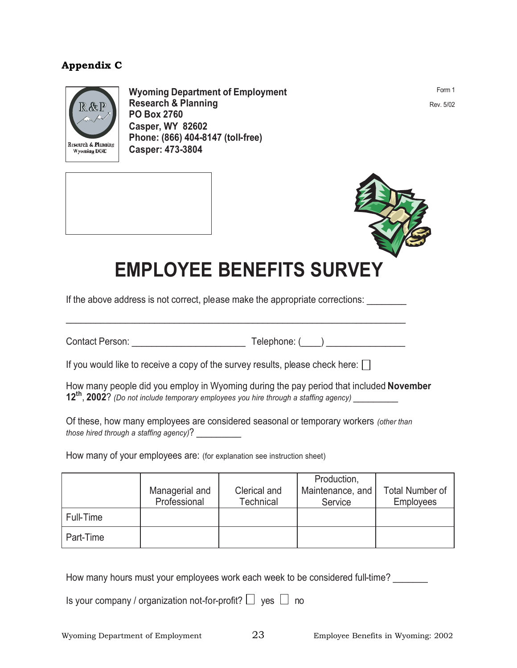# **Appendix C**



**Wyoming Department of Employment Research & Planning PO Box 2760 Casper, WY 82602 Phone: (866) 404-8147 (toll-free) Casper: 473-3804** 

Form 1 Rev. 5/02



# **EMPLOYEE BENEFITS SURVEY**

If the above address is not correct, please make the appropriate corrections:

Contact Person: Telephone: (\_\_\_\_)

If you would like to receive a copy of the survey results, please check here:  $\Box$ 

How many people did you employ in Wyoming during the pay period that included **November 12th**, **2002**? *(Do not include temporary employees you hire through a staffing agency)* \_\_\_\_\_\_\_\_\_

Of these, how many employees are considered seasonal or temporary workers *(other than those hired through a staffing agency)*? \_\_\_\_\_\_\_\_\_

How many of your employees are: (for explanation see instruction sheet)

|           | Managerial and<br>Professional | Clerical and<br><b>Technical</b> | Production,<br>Maintenance, and<br>Service | <b>Total Number of</b><br><b>Employees</b> |
|-----------|--------------------------------|----------------------------------|--------------------------------------------|--------------------------------------------|
| Full-Time |                                |                                  |                                            |                                            |
| Part-Time |                                |                                  |                                            |                                            |

How many hours must your employees work each week to be considered full-time?

Is your company / organization not-for-profit?  $\Box$  yes  $\Box$  no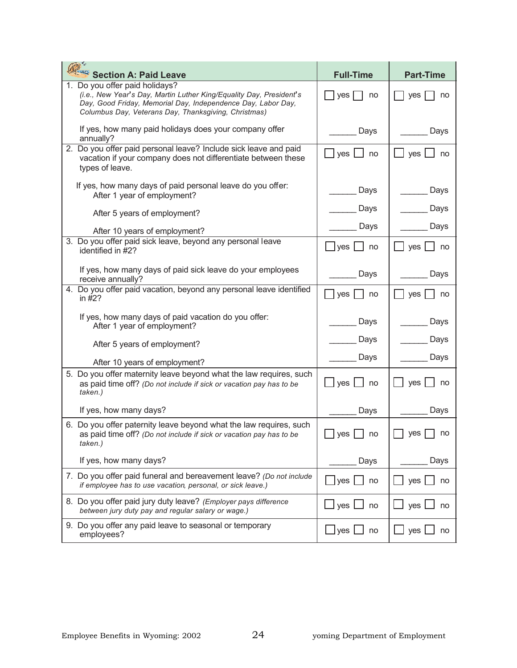| Section A: Paid Leave                                                                                                                                                                                                         | <b>Full-Time</b>                      | <b>Part-Time</b>                                  |
|-------------------------------------------------------------------------------------------------------------------------------------------------------------------------------------------------------------------------------|---------------------------------------|---------------------------------------------------|
| 1. Do you offer paid holidays?<br>(i.e., New Year's Day, Martin Luther King/Equality Day, President's<br>Day, Good Friday, Memorial Day, Independence Day, Labor Day,<br>Columbus Day, Veterans Day, Thanksgiving, Christmas) | yes<br>no                             | yes<br>no                                         |
| If yes, how many paid holidays does your company offer<br>annually?                                                                                                                                                           | Days                                  | Days                                              |
| 2. Do you offer paid personal leave? Include sick leave and paid<br>vacation if your company does not differentiate between these<br>types of leave.                                                                          | yes<br>no                             | yes<br>no                                         |
| If yes, how many days of paid personal leave do you offer:<br>After 1 year of employment?                                                                                                                                     | Days                                  | Days                                              |
| After 5 years of employment?                                                                                                                                                                                                  | Days                                  | Days                                              |
| After 10 years of employment?                                                                                                                                                                                                 | Days                                  | Days                                              |
| 3. Do you offer paid sick leave, beyond any personal leave<br>identified in #2?                                                                                                                                               | $\Box$ yes $\Box$ no                  | $yes \bigsqcup no$                                |
| If yes, how many days of paid sick leave do your employees<br>receive annually?                                                                                                                                               | Days                                  | Days                                              |
| 4. Do you offer paid vacation, beyond any personal leave identified<br>in $#2?$                                                                                                                                               | yes<br>no                             | yes<br>no                                         |
| If yes, how many days of paid vacation do you offer:<br>After 1 year of employment?                                                                                                                                           | Days                                  | Days                                              |
| After 5 years of employment?                                                                                                                                                                                                  | Days                                  | Days                                              |
| After 10 years of employment?                                                                                                                                                                                                 | Days                                  | Days                                              |
| 5. Do you offer maternity leave beyond what the law requires, such<br>as paid time off? (Do not include if sick or vacation pay has to be<br>taken.)                                                                          | yes [<br>no                           | yes<br>no                                         |
| If yes, how many days?                                                                                                                                                                                                        | Days                                  | Days                                              |
| 6. Do you offer paternity leave beyond what the law requires, such<br>as paid time off? (Do not include if sick or vacation pay has to be<br>taken.)                                                                          | yes<br>no                             | yes<br>no                                         |
| If yes, how many days?                                                                                                                                                                                                        | Days                                  | Days                                              |
| 7. Do you offer paid funeral and bereavement leave? (Do not include<br>if employee has to use vacation, personal, or sick leave.)                                                                                             | $\mathsf{\rfloor}$ yes<br>no          | yes<br>no                                         |
| 8. Do you offer paid jury duty leave? (Employer pays difference<br>between jury duty pay and regular salary or wage.)                                                                                                         | $\Box$ yes $\Box$<br>no               | yes $\mathsf{\mathsf{\mathsf{\mathsf{L}}}}$<br>no |
| 9. Do you offer any paid leave to seasonal or temporary<br>employees?                                                                                                                                                         | $\mathsf{\_}$ yes $\mathsf{\ }$<br>no | yes $\lfloor$<br>no                               |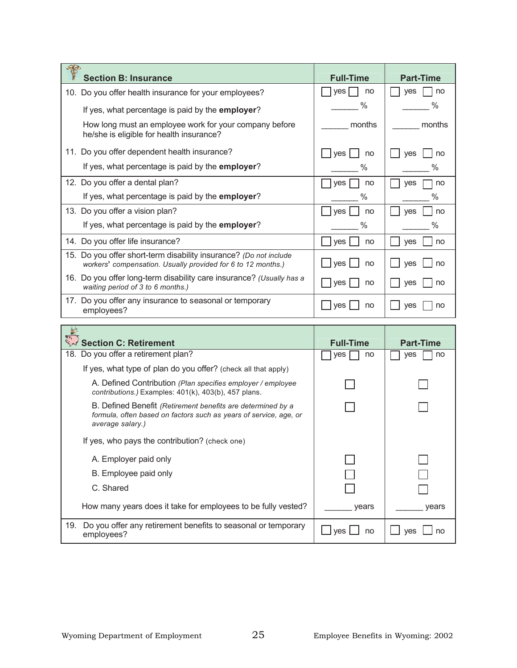| انتهاب<br><b>Section B: Insurance</b>                                                                                             | <b>Full-Time</b> | <b>Part-Time</b> |
|-----------------------------------------------------------------------------------------------------------------------------------|------------------|------------------|
| Do you offer health insurance for your employees?<br>10.                                                                          | <b>ves</b><br>no | <b>ves</b><br>no |
| If yes, what percentage is paid by the employer?                                                                                  | $\%$             | %                |
| How long must an employee work for your company before<br>he/she is eligible for health insurance?                                | months           | months           |
| 11. Do you offer dependent health insurance?                                                                                      | ves<br>no        | ves<br>no        |
| If yes, what percentage is paid by the employer?                                                                                  | %                | %                |
| 12. Do you offer a dental plan?                                                                                                   | no<br>yes        | ves<br>no        |
| If yes, what percentage is paid by the <b>employer</b> ?                                                                          | $\%$             | %                |
| 13. Do you offer a vision plan?                                                                                                   | no<br>ves        | no<br>yes        |
| If yes, what percentage is paid by the employer?                                                                                  | %                | %                |
| 14. Do you offer life insurance?                                                                                                  | <b>ves</b><br>no | <b>ves</b><br>no |
| 15. Do you offer short-term disability insurance? (Do not include<br>workers' compensation. Usually provided for 6 to 12 months.) | ves<br>no        | ves<br>no        |
| 16. Do you offer long-term disability care insurance? (Usually has a<br>waiting period of 3 to 6 months.)                         | yes<br>no        | <b>ves</b><br>no |
| Do you offer any insurance to seasonal or temporary<br>17 <sub>1</sub><br>employees?                                              | ves<br>no        | ves<br>no        |
| 鱼                                                                                                                                 |                  |                  |

| $\frac{6}{5}$<br><b>Section C: Retirement</b>                                                                                                        | <b>Full-Time</b> | <b>Part-Time</b> |
|------------------------------------------------------------------------------------------------------------------------------------------------------|------------------|------------------|
| 18. Do you offer a retirement plan?                                                                                                                  | no<br>yes        | ves<br>no        |
| If yes, what type of plan do you offer? (check all that apply)                                                                                       |                  |                  |
| A. Defined Contribution (Plan specifies employer / employee<br>contributions.) Examples: 401(k), 403(b), 457 plans.                                  |                  |                  |
| B. Defined Benefit (Retirement benefits are determined by a<br>formula, often based on factors such as years of service, age, or<br>average salary.) |                  |                  |
| If yes, who pays the contribution? (check one)                                                                                                       |                  |                  |
| A. Employer paid only                                                                                                                                |                  |                  |
| B. Employee paid only                                                                                                                                |                  |                  |
| C. Shared                                                                                                                                            |                  |                  |
| How many years does it take for employees to be fully vested?                                                                                        | vears            | years            |
| Do you offer any retirement benefits to seasonal or temporary<br>19.<br>employees?                                                                   | no<br>ves        | ves<br>no        |